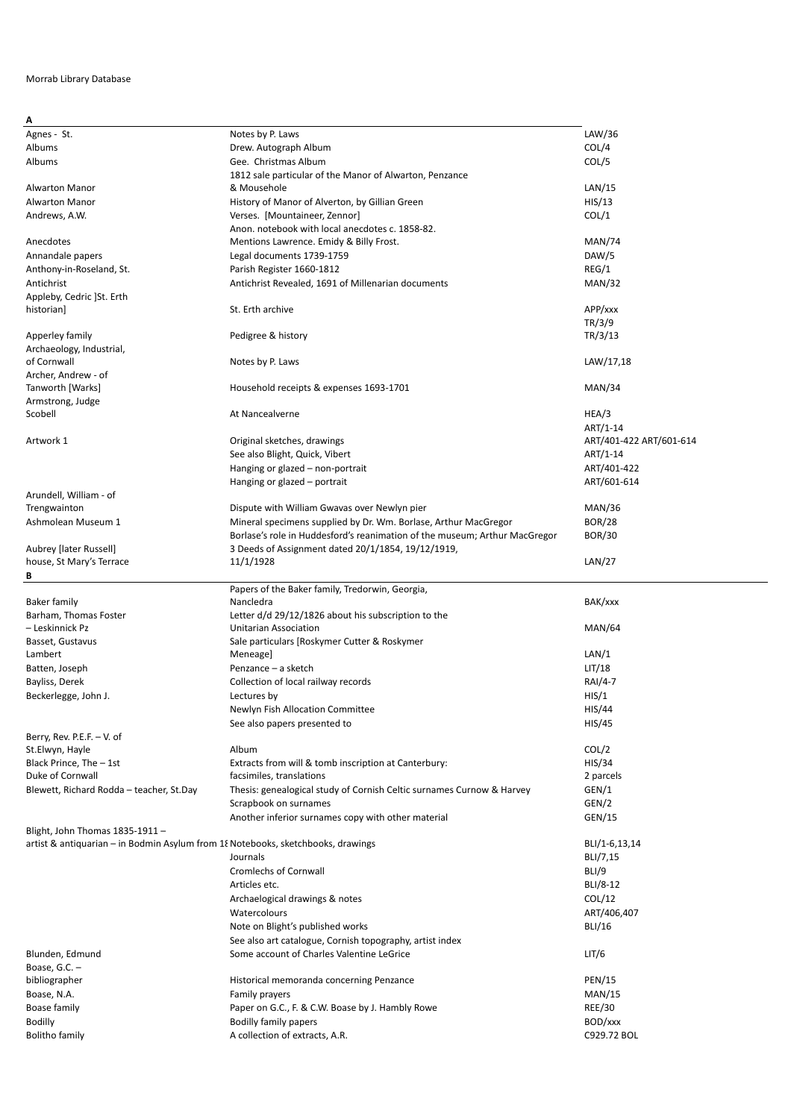## Morrab Library Database

| A                                                                                |                                                                            |                         |
|----------------------------------------------------------------------------------|----------------------------------------------------------------------------|-------------------------|
| Agnes - St.                                                                      | Notes by P. Laws                                                           | LAW/36                  |
| Albums                                                                           | Drew. Autograph Album                                                      | COL/4                   |
|                                                                                  | Gee. Christmas Album                                                       |                         |
| Albums                                                                           |                                                                            | COL/5                   |
|                                                                                  | 1812 sale particular of the Manor of Alwarton, Penzance                    |                         |
| Alwarton Manor                                                                   | & Mousehole                                                                | LAN/15                  |
| Alwarton Manor                                                                   | History of Manor of Alverton, by Gillian Green                             | HIS/13                  |
| Andrews, A.W.                                                                    | Verses. [Mountaineer, Zennor]                                              | COL/1                   |
|                                                                                  | Anon. notebook with local anecdotes c. 1858-82.                            |                         |
| Anecdotes                                                                        |                                                                            | <b>MAN/74</b>           |
|                                                                                  | Mentions Lawrence. Emidy & Billy Frost.                                    |                         |
| Annandale papers                                                                 | Legal documents 1739-1759                                                  | DAW/5                   |
| Anthony-in-Roseland, St.                                                         | Parish Register 1660-1812                                                  | REG/1                   |
| Antichrist                                                                       | Antichrist Revealed, 1691 of Millenarian documents                         | MAN/32                  |
| Appleby, Cedric ]St. Erth                                                        |                                                                            |                         |
| historian]                                                                       | St. Erth archive                                                           | APP/xxx                 |
|                                                                                  |                                                                            |                         |
|                                                                                  |                                                                            | TR/3/9                  |
| Apperley family                                                                  | Pedigree & history                                                         | TR/3/13                 |
| Archaeology, Industrial,                                                         |                                                                            |                         |
| of Cornwall                                                                      | Notes by P. Laws                                                           | LAW/17,18               |
| Archer, Andrew - of                                                              |                                                                            |                         |
| Tanworth [Warks]                                                                 | Household receipts & expenses 1693-1701                                    | MAN/34                  |
| Armstrong, Judge                                                                 |                                                                            |                         |
| Scobell                                                                          | At Nancealverne                                                            | HEA/3                   |
|                                                                                  |                                                                            |                         |
|                                                                                  |                                                                            | ART/1-14                |
| Artwork 1                                                                        | Original sketches, drawings                                                | ART/401-422 ART/601-614 |
|                                                                                  | See also Blight, Quick, Vibert                                             | ART/1-14                |
|                                                                                  | Hanging or glazed – non-portrait                                           | ART/401-422             |
|                                                                                  | Hanging or glazed - portrait                                               | ART/601-614             |
|                                                                                  |                                                                            |                         |
| Arundell, William - of                                                           |                                                                            |                         |
| Trengwainton                                                                     | Dispute with William Gwavas over Newlyn pier                               | <b>MAN/36</b>           |
| Ashmolean Museum 1                                                               | Mineral specimens supplied by Dr. Wm. Borlase, Arthur MacGregor            | <b>BOR/28</b>           |
|                                                                                  | Borlase's role in Huddesford's reanimation of the museum; Arthur MacGregor | <b>BOR/30</b>           |
| Aubrey [later Russell]                                                           | 3 Deeds of Assignment dated 20/1/1854, 19/12/1919,                         |                         |
| house, St Mary's Terrace                                                         | 11/1/1928                                                                  | LAN/27                  |
|                                                                                  |                                                                            |                         |
| В                                                                                |                                                                            |                         |
|                                                                                  |                                                                            |                         |
|                                                                                  | Papers of the Baker family, Tredorwin, Georgia,                            |                         |
| Baker family                                                                     | Nancledra                                                                  | BAK/xxx                 |
| Barham, Thomas Foster                                                            | Letter d/d 29/12/1826 about his subscription to the                        |                         |
| - Leskinnick Pz                                                                  | <b>Unitarian Association</b>                                               | <b>MAN/64</b>           |
|                                                                                  |                                                                            |                         |
| Basset, Gustavus                                                                 | Sale particulars [Roskymer Cutter & Roskymer                               |                         |
| Lambert                                                                          | Meneage]                                                                   | LAN/1                   |
| Batten, Joseph                                                                   | Penzance - a sketch                                                        | LIT/18                  |
| Bayliss, Derek                                                                   | Collection of local railway records                                        | RAI/4-7                 |
| Beckerlegge, John J.                                                             | Lectures by                                                                | HIS/1                   |
|                                                                                  | Newlyn Fish Allocation Committee                                           | HIS/44                  |
|                                                                                  |                                                                            |                         |
|                                                                                  | See also papers presented to                                               | HIS/45                  |
| Berry, Rev. P.E.F. $-$ V. of                                                     |                                                                            |                         |
| St.Elwyn, Hayle                                                                  | Album                                                                      | COL/2                   |
| Black Prince, The - 1st                                                          | Extracts from will & tomb inscription at Canterbury:                       | HIS/34                  |
| Duke of Cornwall                                                                 | facsimiles, translations                                                   | 2 parcels               |
| Blewett, Richard Rodda - teacher, St.Day                                         | Thesis: genealogical study of Cornish Celtic surnames Curnow & Harvey      | GEN/1                   |
|                                                                                  |                                                                            |                         |
|                                                                                  | Scrapbook on surnames                                                      | GEN/2                   |
|                                                                                  | Another inferior surnames copy with other material                         | GEN/15                  |
| Blight, John Thomas 1835-1911 -                                                  |                                                                            |                         |
| artist & antiquarian - in Bodmin Asylum from 18 Notebooks, sketchbooks, drawings |                                                                            | BLI/1-6,13,14           |
|                                                                                  | Journals                                                                   | BLI/7,15                |
|                                                                                  | <b>Cromlechs of Cornwall</b>                                               | BLI/9                   |
|                                                                                  |                                                                            |                         |
|                                                                                  | Articles etc.                                                              | BLI/8-12                |
|                                                                                  | Archaelogical drawings & notes                                             | COL/12                  |
|                                                                                  | Watercolours                                                               | ART/406,407             |
|                                                                                  | Note on Blight's published works                                           | <b>BLI/16</b>           |
|                                                                                  | See also art catalogue, Cornish topography, artist index                   |                         |
|                                                                                  |                                                                            |                         |
| Blunden, Edmund                                                                  | Some account of Charles Valentine LeGrice                                  | LIT/6                   |
| Boase, G.C. -                                                                    |                                                                            |                         |
| bibliographer                                                                    | Historical memoranda concerning Penzance                                   | <b>PEN/15</b>           |
| Boase, N.A.                                                                      | Family prayers                                                             | <b>MAN/15</b>           |
| Boase family                                                                     | Paper on G.C., F. & C.W. Boase by J. Hambly Rowe                           | <b>REE/30</b>           |
| <b>Bodilly</b>                                                                   |                                                                            | BOD/xxx                 |
| <b>Bolitho family</b>                                                            | <b>Bodilly family papers</b><br>A collection of extracts, A.R.             | C929.72 BOL             |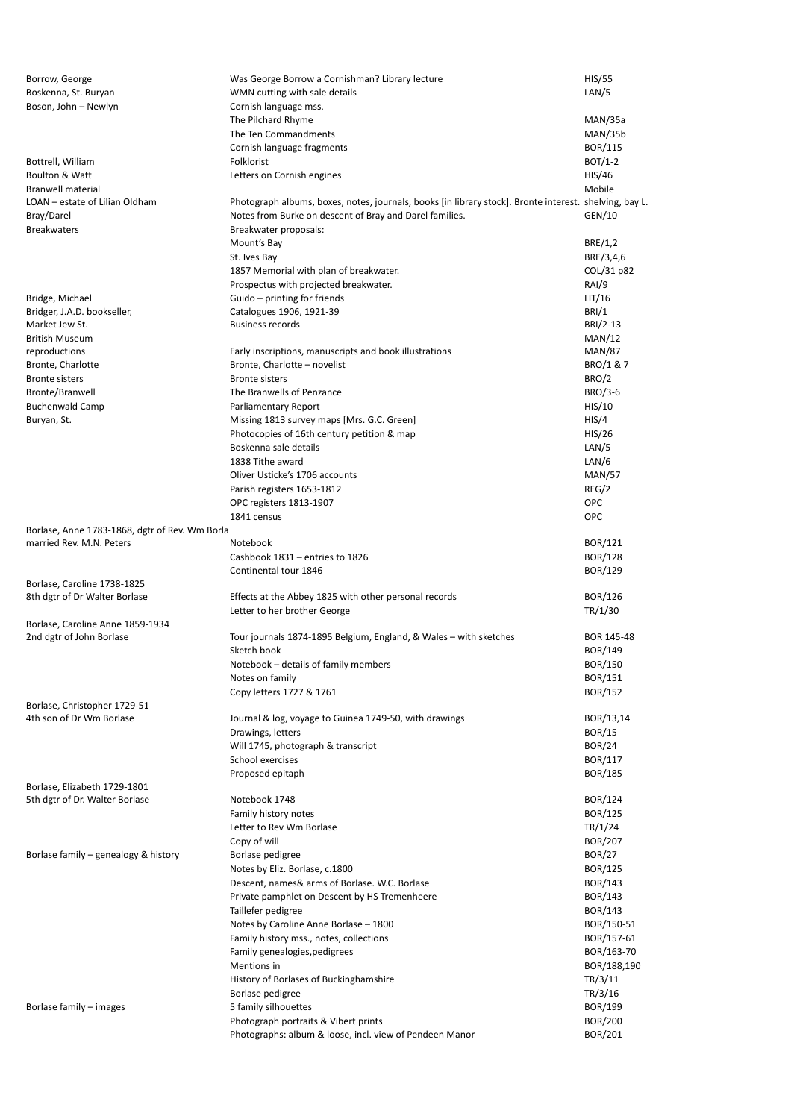| Borrow, George                                 | Was George Borrow a Cornishman? Library lecture                                                        | <b>HIS/55</b>  |
|------------------------------------------------|--------------------------------------------------------------------------------------------------------|----------------|
| Boskenna, St. Buryan                           | WMN cutting with sale details                                                                          | LAN/5          |
| Boson, John - Newlyn                           | Cornish language mss.                                                                                  |                |
|                                                | The Pilchard Rhyme                                                                                     | MAN/35a        |
|                                                | The Ten Commandments                                                                                   | MAN/35b        |
|                                                | Cornish language fragments                                                                             | BOR/115        |
| Bottrell, William                              | Folklorist                                                                                             | BOT/1-2        |
| Boulton & Watt                                 | Letters on Cornish engines                                                                             | HIS/46         |
| <b>Branwell material</b>                       |                                                                                                        | Mobile         |
| LOAN - estate of Lilian Oldham                 | Photograph albums, boxes, notes, journals, books [in library stock]. Bronte interest. shelving, bay L. |                |
| Bray/Darel                                     | Notes from Burke on descent of Bray and Darel families.                                                | GEN/10         |
| <b>Breakwaters</b>                             | Breakwater proposals:                                                                                  |                |
|                                                | Mount's Bay                                                                                            | BRE/1,2        |
|                                                | St. Ives Bay                                                                                           | BRE/3,4,6      |
|                                                | 1857 Memorial with plan of breakwater.                                                                 | COL/31 p82     |
|                                                | Prospectus with projected breakwater.                                                                  | RAI/9          |
| Bridge, Michael                                | Guido - printing for friends                                                                           | LIT/16         |
| Bridger, J.A.D. bookseller,                    | Catalogues 1906, 1921-39                                                                               | BRI/1          |
| Market Jew St.                                 | <b>Business records</b>                                                                                | BRI/2-13       |
| <b>British Museum</b>                          |                                                                                                        | MAN/12         |
| reproductions                                  | Early inscriptions, manuscripts and book illustrations                                                 | <b>MAN/87</b>  |
| Bronte, Charlotte                              | Bronte, Charlotte - novelist                                                                           | BRO/1 & 7      |
| <b>Bronte sisters</b>                          | <b>Bronte sisters</b>                                                                                  | BRO/2          |
| Bronte/Branwell                                | The Branwells of Penzance                                                                              | BRO/3-6        |
| <b>Buchenwald Camp</b>                         | Parliamentary Report                                                                                   | HIS/10         |
| Buryan, St.                                    | Missing 1813 survey maps [Mrs. G.C. Green]                                                             | HIS/4          |
|                                                | Photocopies of 16th century petition & map                                                             | HIS/26         |
|                                                | Boskenna sale details                                                                                  | LAN/5          |
|                                                | 1838 Tithe award                                                                                       | LAN/6          |
|                                                | Oliver Usticke's 1706 accounts                                                                         | <b>MAN/57</b>  |
|                                                | Parish registers 1653-1812                                                                             | REG/2          |
|                                                | OPC registers 1813-1907                                                                                | OPC            |
|                                                | 1841 census                                                                                            | OPC            |
| Borlase, Anne 1783-1868, dgtr of Rev. Wm Borla |                                                                                                        |                |
| married Rev. M.N. Peters                       | Notebook                                                                                               | BOR/121        |
|                                                | Cashbook 1831 - entries to 1826                                                                        | <b>BOR/128</b> |
|                                                | Continental tour 1846                                                                                  | <b>BOR/129</b> |
| Borlase, Caroline 1738-1825                    |                                                                                                        |                |
| 8th dgtr of Dr Walter Borlase                  | Effects at the Abbey 1825 with other personal records                                                  | <b>BOR/126</b> |
|                                                | Letter to her brother George                                                                           | TR/1/30        |
| Borlase, Caroline Anne 1859-1934               |                                                                                                        |                |
| 2nd dgtr of John Borlase                       | Tour journals 1874-1895 Belgium, England, & Wales - with sketches                                      | BOR 145-48     |
|                                                | Sketch book                                                                                            | <b>BOR/149</b> |
|                                                | Notebook – details of family members                                                                   | BOR/150        |
|                                                | Notes on family                                                                                        | BOR/151        |
|                                                | Copy letters 1727 & 1761                                                                               | <b>BOR/152</b> |
| Borlase, Christopher 1729-51                   |                                                                                                        |                |
| 4th son of Dr Wm Borlase                       | Journal & log, voyage to Guinea 1749-50, with drawings                                                 | BOR/13,14      |
|                                                | Drawings, letters                                                                                      | <b>BOR/15</b>  |
|                                                | Will 1745, photograph & transcript                                                                     | <b>BOR/24</b>  |
|                                                | School exercises                                                                                       | BOR/117        |
|                                                | Proposed epitaph                                                                                       | <b>BOR/185</b> |
| Borlase, Elizabeth 1729-1801                   |                                                                                                        |                |
| 5th dgtr of Dr. Walter Borlase                 | Notebook 1748                                                                                          | <b>BOR/124</b> |
|                                                | Family history notes                                                                                   | <b>BOR/125</b> |
|                                                | Letter to Rev Wm Borlase                                                                               | TR/1/24        |
|                                                | Copy of will                                                                                           | <b>BOR/207</b> |
| Borlase family - genealogy & history           | Borlase pedigree                                                                                       | <b>BOR/27</b>  |
|                                                | Notes by Eliz. Borlase, c.1800                                                                         | <b>BOR/125</b> |
|                                                | Descent, names& arms of Borlase. W.C. Borlase                                                          | <b>BOR/143</b> |
|                                                | Private pamphlet on Descent by HS Tremenheere                                                          | <b>BOR/143</b> |
|                                                | Taillefer pedigree                                                                                     | <b>BOR/143</b> |
|                                                | Notes by Caroline Anne Borlase - 1800                                                                  | BOR/150-51     |
|                                                | Family history mss., notes, collections                                                                | BOR/157-61     |
|                                                | Family genealogies, pedigrees                                                                          | BOR/163-70     |
|                                                | Mentions in                                                                                            | BOR/188,190    |
|                                                | History of Borlases of Buckinghamshire                                                                 | TR/3/11        |
|                                                | Borlase pedigree                                                                                       | TR/3/16        |
| Borlase family – images                        | 5 family silhouettes                                                                                   | BOR/199        |
|                                                | Photograph portraits & Vibert prints                                                                   | <b>BOR/200</b> |
|                                                | Photographs: album & loose, incl. view of Pendeen Manor                                                | BOR/201        |
|                                                |                                                                                                        |                |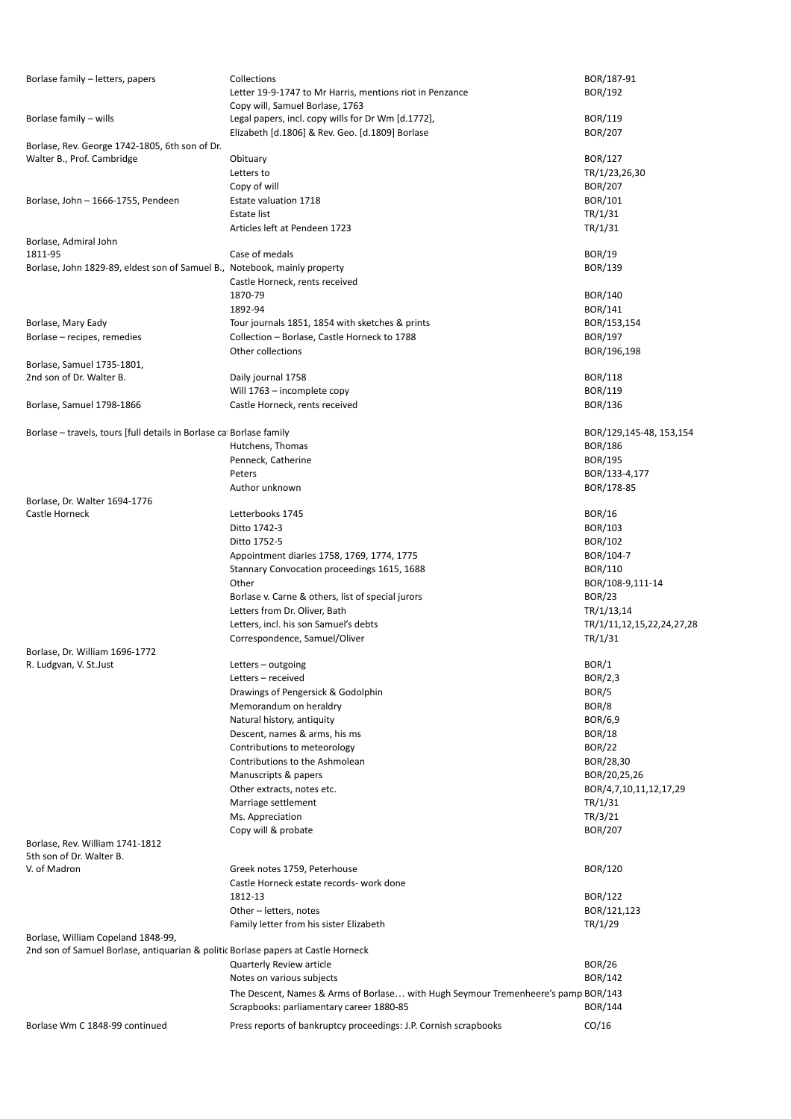| Borlase family - letters, papers                                                  | Collections<br>Letter 19-9-1747 to Mr Harris, mentions riot in Penzance                               | BOR/187-91<br>BOR/192     |
|-----------------------------------------------------------------------------------|-------------------------------------------------------------------------------------------------------|---------------------------|
|                                                                                   | Copy will, Samuel Borlase, 1763                                                                       |                           |
| Borlase family - wills                                                            | Legal papers, incl. copy wills for Dr Wm [d.1772],<br>Elizabeth [d.1806] & Rev. Geo. [d.1809] Borlase | BOR/119<br><b>BOR/207</b> |
| Borlase, Rev. George 1742-1805, 6th son of Dr.                                    |                                                                                                       |                           |
| Walter B., Prof. Cambridge                                                        | Obituary                                                                                              | BOR/127                   |
|                                                                                   | Letters to                                                                                            | TR/1/23,26,30             |
|                                                                                   | Copy of will                                                                                          | <b>BOR/207</b>            |
| Borlase, John - 1666-1755, Pendeen                                                | Estate valuation 1718                                                                                 | BOR/101                   |
|                                                                                   | Estate list                                                                                           | TR/1/31                   |
|                                                                                   | Articles left at Pendeen 1723                                                                         | TR/1/31                   |
| Borlase, Admiral John                                                             |                                                                                                       |                           |
| 1811-95                                                                           | Case of medals                                                                                        | <b>BOR/19</b>             |
| Borlase, John 1829-89, eldest son of Samuel B., Notebook, mainly property         |                                                                                                       | BOR/139                   |
|                                                                                   | Castle Horneck, rents received                                                                        |                           |
|                                                                                   | 1870-79                                                                                               | BOR/140                   |
|                                                                                   | 1892-94                                                                                               | BOR/141                   |
| Borlase, Mary Eady                                                                | Tour journals 1851, 1854 with sketches & prints                                                       | BOR/153,154               |
| Borlase - recipes, remedies                                                       | Collection - Borlase, Castle Horneck to 1788                                                          | BOR/197                   |
|                                                                                   | Other collections                                                                                     | BOR/196,198               |
| Borlase, Samuel 1735-1801,                                                        |                                                                                                       |                           |
| 2nd son of Dr. Walter B.                                                          | Daily journal 1758                                                                                    | <b>BOR/118</b>            |
|                                                                                   | Will 1763 - incomplete copy                                                                           | BOR/119                   |
| Borlase, Samuel 1798-1866                                                         | Castle Horneck, rents received                                                                        | BOR/136                   |
|                                                                                   |                                                                                                       |                           |
| Borlase – travels, tours [full details in Borlase ca Borlase family               |                                                                                                       | BOR/129,145-48, 153,154   |
|                                                                                   | Hutchens, Thomas                                                                                      | <b>BOR/186</b>            |
|                                                                                   | Penneck, Catherine                                                                                    | BOR/195                   |
|                                                                                   | Peters                                                                                                | BOR/133-4,177             |
|                                                                                   | Author unknown                                                                                        | BOR/178-85                |
| Borlase, Dr. Walter 1694-1776                                                     |                                                                                                       |                           |
| Castle Horneck                                                                    | Letterbooks 1745                                                                                      | <b>BOR/16</b>             |
|                                                                                   | Ditto 1742-3                                                                                          | BOR/103                   |
|                                                                                   | Ditto 1752-5                                                                                          | BOR/102                   |
|                                                                                   | Appointment diaries 1758, 1769, 1774, 1775                                                            | BOR/104-7                 |
|                                                                                   | Stannary Convocation proceedings 1615, 1688                                                           | BOR/110                   |
|                                                                                   | Other                                                                                                 | BOR/108-9,111-14          |
|                                                                                   |                                                                                                       | <b>BOR/23</b>             |
|                                                                                   | Borlase v. Carne & others, list of special jurors                                                     |                           |
|                                                                                   | Letters from Dr. Oliver, Bath                                                                         | TR/1/13,14                |
|                                                                                   | Letters, incl. his son Samuel's debts                                                                 | TR/1/11,12,15,22,24,27,28 |
|                                                                                   | Correspondence, Samuel/Oliver                                                                         | TR/1/31                   |
| Borlase, Dr. William 1696-1772                                                    |                                                                                                       |                           |
| R. Ludgvan, V. St.Just                                                            | Letters - outgoing                                                                                    | BOR/1                     |
|                                                                                   | Letters - received                                                                                    | BOR/2,3                   |
|                                                                                   | Drawings of Pengersick & Godolphin                                                                    | BOR/5                     |
|                                                                                   | Memorandum on heraldry                                                                                | BOR/8                     |
|                                                                                   | Natural history, antiquity                                                                            | BOR/6,9                   |
|                                                                                   | Descent, names & arms, his ms                                                                         | <b>BOR/18</b>             |
|                                                                                   | Contributions to meteorology                                                                          | <b>BOR/22</b>             |
|                                                                                   | Contributions to the Ashmolean                                                                        | BOR/28,30                 |
|                                                                                   | Manuscripts & papers                                                                                  | BOR/20,25,26              |
|                                                                                   | Other extracts, notes etc.                                                                            | BOR/4,7,10,11,12,17,29    |
|                                                                                   | Marriage settlement                                                                                   | TR/1/31                   |
|                                                                                   | Ms. Appreciation                                                                                      | TR/3/21                   |
|                                                                                   | Copy will & probate                                                                                   | <b>BOR/207</b>            |
| Borlase, Rev. William 1741-1812                                                   |                                                                                                       |                           |
| 5th son of Dr. Walter B.                                                          |                                                                                                       |                           |
| V. of Madron                                                                      | Greek notes 1759, Peterhouse                                                                          | <b>BOR/120</b>            |
|                                                                                   | Castle Horneck estate records- work done                                                              |                           |
|                                                                                   | 1812-13                                                                                               | BOR/122                   |
|                                                                                   | Other - letters, notes                                                                                | BOR/121,123               |
|                                                                                   | Family letter from his sister Elizabeth                                                               | TR/1/29                   |
| Borlase, William Copeland 1848-99,                                                |                                                                                                       |                           |
| 2nd son of Samuel Borlase, antiquarian & politic Borlase papers at Castle Horneck |                                                                                                       |                           |
|                                                                                   | Quarterly Review article                                                                              | <b>BOR/26</b>             |
|                                                                                   | Notes on various subjects                                                                             | BOR/142                   |
|                                                                                   | The Descent, Names & Arms of Borlase with Hugh Seymour Tremenheere's pamp BOR/143                     |                           |
|                                                                                   | Scrapbooks: parliamentary career 1880-85                                                              | BOR/144                   |
| Borlase Wm C 1848-99 continued                                                    | Press reports of bankruptcy proceedings: J.P. Cornish scrapbooks                                      | CO/16                     |
|                                                                                   |                                                                                                       |                           |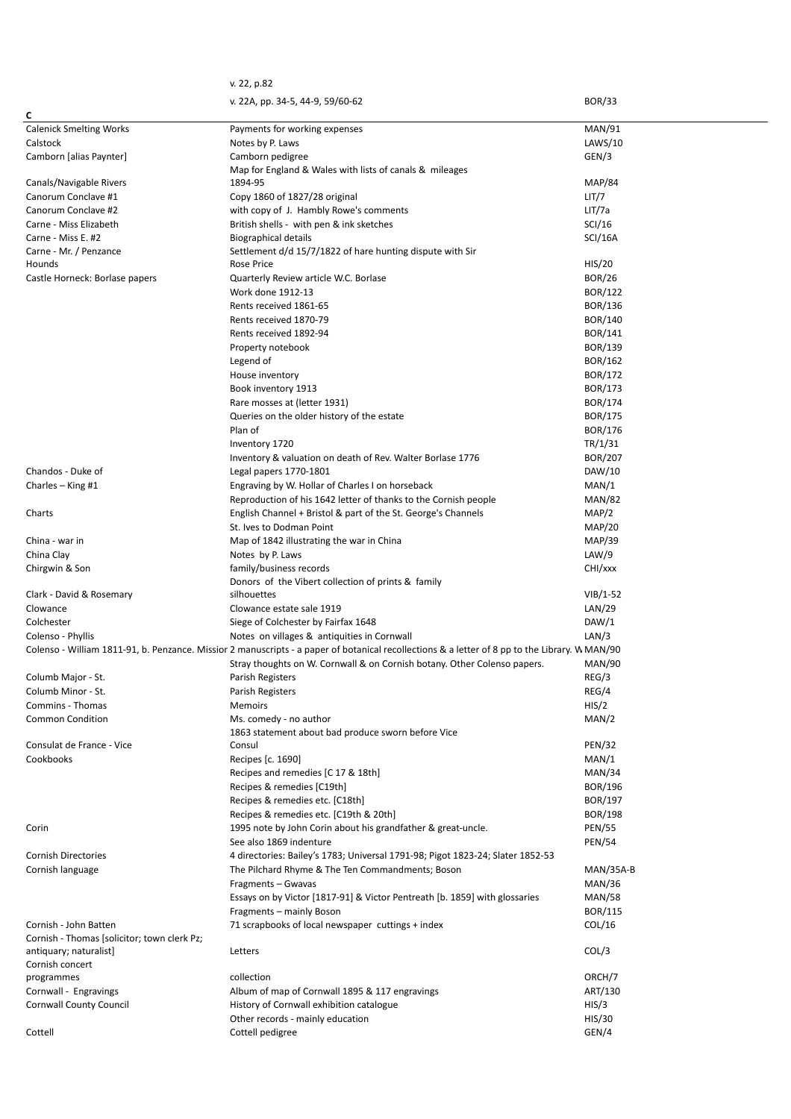|                                             | v. 22, p.82                                                                                                                                    |                |
|---------------------------------------------|------------------------------------------------------------------------------------------------------------------------------------------------|----------------|
|                                             | v. 22A, pp. 34-5, 44-9, 59/60-62                                                                                                               | <b>BOR/33</b>  |
| c                                           |                                                                                                                                                |                |
|                                             | Payments for working expenses                                                                                                                  |                |
| <b>Calenick Smelting Works</b>              |                                                                                                                                                | <b>MAN/91</b>  |
| Calstock                                    | Notes by P. Laws                                                                                                                               | LAWS/10        |
| Camborn [alias Paynter]                     | Camborn pedigree                                                                                                                               | GEN/3          |
|                                             | Map for England & Wales with lists of canals & mileages                                                                                        |                |
| Canals/Navigable Rivers                     | 1894-95                                                                                                                                        | <b>MAP/84</b>  |
| Canorum Conclave #1                         | Copy 1860 of 1827/28 original                                                                                                                  | LIT/7          |
| Canorum Conclave #2                         | with copy of J. Hambly Rowe's comments                                                                                                         | LIT/7a         |
| Carne - Miss Elizabeth                      | British shells - with pen & ink sketches                                                                                                       | SCI/16         |
| Carne - Miss E. #2                          | Biographical details                                                                                                                           | <b>SCI/16A</b> |
| Carne - Mr. / Penzance                      | Settlement d/d 15/7/1822 of hare hunting dispute with Sir                                                                                      |                |
| Hounds                                      | Rose Price                                                                                                                                     | HIS/20         |
| Castle Horneck: Borlase papers              | Quarterly Review article W.C. Borlase                                                                                                          | <b>BOR/26</b>  |
|                                             | Work done 1912-13                                                                                                                              | BOR/122        |
|                                             |                                                                                                                                                |                |
|                                             | Rents received 1861-65                                                                                                                         | BOR/136        |
|                                             | Rents received 1870-79                                                                                                                         | BOR/140        |
|                                             | Rents received 1892-94                                                                                                                         | BOR/141        |
|                                             | Property notebook                                                                                                                              | BOR/139        |
|                                             | Legend of                                                                                                                                      | BOR/162        |
|                                             | House inventory                                                                                                                                | BOR/172        |
|                                             | Book inventory 1913                                                                                                                            | BOR/173        |
|                                             | Rare mosses at (letter 1931)                                                                                                                   | <b>BOR/174</b> |
|                                             | Queries on the older history of the estate                                                                                                     | BOR/175        |
|                                             | Plan of                                                                                                                                        | <b>BOR/176</b> |
|                                             |                                                                                                                                                |                |
|                                             | Inventory 1720                                                                                                                                 | TR/1/31        |
|                                             | Inventory & valuation on death of Rev. Walter Borlase 1776                                                                                     | <b>BOR/207</b> |
| Chandos - Duke of                           | Legal papers 1770-1801                                                                                                                         | DAW/10         |
| Charles $-$ King #1                         | Engraving by W. Hollar of Charles I on horseback                                                                                               | MAN/1          |
|                                             | Reproduction of his 1642 letter of thanks to the Cornish people                                                                                | <b>MAN/82</b>  |
| Charts                                      | English Channel + Bristol & part of the St. George's Channels                                                                                  | MAP/2          |
|                                             | St. Ives to Dodman Point                                                                                                                       | <b>MAP/20</b>  |
| China - war in                              | Map of 1842 illustrating the war in China                                                                                                      | <b>MAP/39</b>  |
| China Clay                                  | Notes by P. Laws                                                                                                                               | LAW/9          |
|                                             |                                                                                                                                                |                |
| Chirgwin & Son                              | family/business records                                                                                                                        | CHI/xxx        |
|                                             | Donors of the Vibert collection of prints & family                                                                                             |                |
| Clark - David & Rosemary                    | silhouettes                                                                                                                                    | $VIB/1-52$     |
| Clowance                                    | Clowance estate sale 1919                                                                                                                      | LAN/29         |
| Colchester                                  | Siege of Colchester by Fairfax 1648                                                                                                            | DAW/1          |
| Colenso - Phyllis                           | Notes on villages & antiquities in Cornwall                                                                                                    | LAN/3          |
|                                             | Colenso - William 1811-91, b. Penzance. Missior 2 manuscripts - a paper of botanical recollections & a letter of 8 pp to the Library. W MAN/90 |                |
|                                             | Stray thoughts on W. Cornwall & on Cornish botany. Other Colenso papers.                                                                       | <b>MAN/90</b>  |
| Columb Major - St.                          | Parish Registers                                                                                                                               | REG/3          |
| Columb Minor - St.                          | Parish Registers                                                                                                                               | REG/4          |
| Commins - Thomas                            | <b>Memoirs</b>                                                                                                                                 | HIS/2          |
|                                             |                                                                                                                                                |                |
| <b>Common Condition</b>                     | Ms. comedy - no author                                                                                                                         | MAN/2          |
|                                             | 1863 statement about bad produce sworn before Vice                                                                                             |                |
| Consulat de France - Vice                   | Consul                                                                                                                                         | <b>PEN/32</b>  |
| Cookbooks                                   | Recipes [c. 1690]                                                                                                                              | MAN/1          |
|                                             | Recipes and remedies [C 17 & 18th]                                                                                                             | MAN/34         |
|                                             | Recipes & remedies [C19th]                                                                                                                     | BOR/196        |
|                                             | Recipes & remedies etc. [C18th]                                                                                                                | BOR/197        |
|                                             | Recipes & remedies etc. [C19th & 20th]                                                                                                         | <b>BOR/198</b> |
| Corin                                       | 1995 note by John Corin about his grandfather & great-uncle.                                                                                   | <b>PEN/55</b>  |
|                                             | See also 1869 indenture                                                                                                                        | <b>PEN/54</b>  |
| <b>Cornish Directories</b>                  | 4 directories: Bailey's 1783; Universal 1791-98; Pigot 1823-24; Slater 1852-53                                                                 |                |
|                                             |                                                                                                                                                |                |
| Cornish language                            | The Pilchard Rhyme & The Ten Commandments; Boson                                                                                               | MAN/35A-B      |
|                                             | Fragments - Gwavas                                                                                                                             | <b>MAN/36</b>  |
|                                             | Essays on by Victor [1817-91] & Victor Pentreath [b. 1859] with glossaries                                                                     | <b>MAN/58</b>  |
|                                             | Fragments - mainly Boson                                                                                                                       | <b>BOR/115</b> |
| Cornish - John Batten                       | 71 scrapbooks of local newspaper cuttings + index                                                                                              | COL/16         |
| Cornish - Thomas [solicitor; town clerk Pz; |                                                                                                                                                |                |
| antiquary; naturalist]                      | Letters                                                                                                                                        | COL/3          |
| Cornish concert                             |                                                                                                                                                |                |
| programmes                                  | collection                                                                                                                                     | ORCH/7         |
| Cornwall - Engravings                       | Album of map of Cornwall 1895 & 117 engravings                                                                                                 | ART/130        |
| <b>Cornwall County Council</b>              | History of Cornwall exhibition catalogue                                                                                                       | HIS/3          |
|                                             |                                                                                                                                                |                |
|                                             | Other records - mainly education                                                                                                               | HIS/30         |
| Cottell                                     | Cottell pedigree                                                                                                                               | GEN/4          |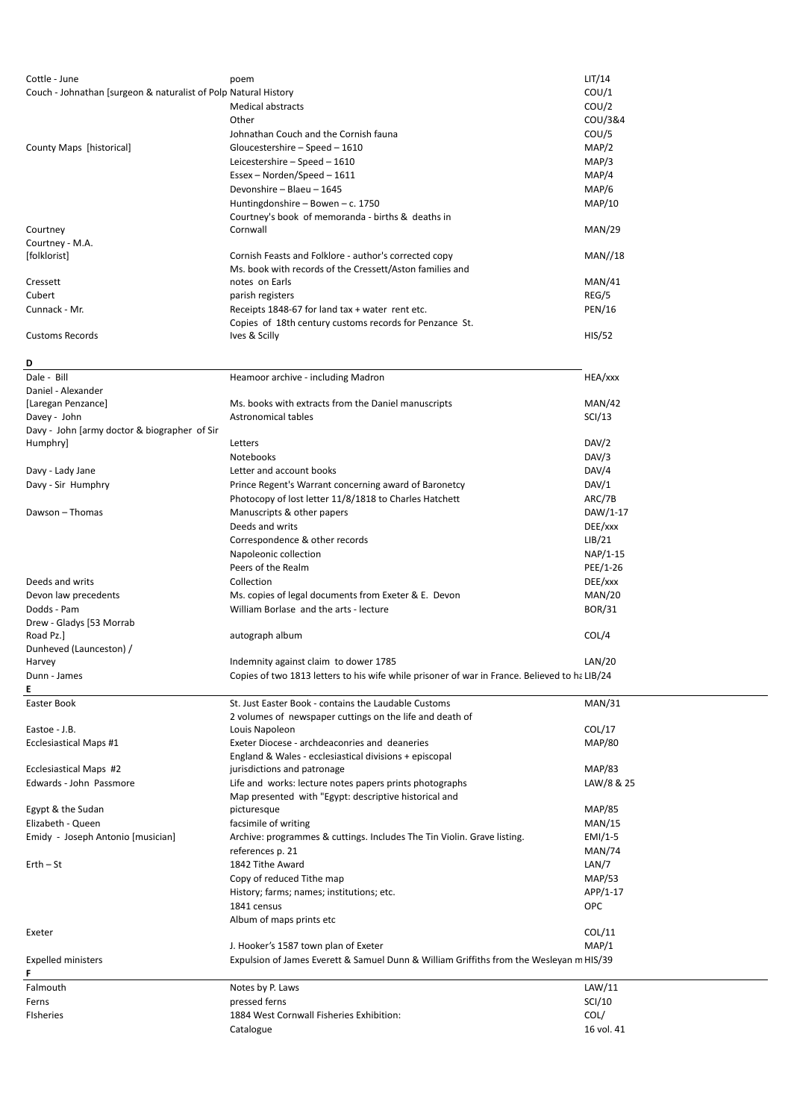| Cottle - June                                                   | poem                                                                                          | LIT/14        |
|-----------------------------------------------------------------|-----------------------------------------------------------------------------------------------|---------------|
| Couch - Johnathan [surgeon & naturalist of Polp Natural History |                                                                                               | COU/1         |
|                                                                 | <b>Medical abstracts</b>                                                                      | COU/2         |
|                                                                 | Other                                                                                         | COU/3&4       |
|                                                                 |                                                                                               |               |
|                                                                 | Johnathan Couch and the Cornish fauna                                                         | COU/5         |
| County Maps [historical]                                        | Gloucestershire - Speed - 1610                                                                | MAP/2         |
|                                                                 | Leicestershire - Speed - 1610                                                                 | MAP/3         |
|                                                                 | $Essex-Norden/Speed - 1611$                                                                   | MAP/4         |
|                                                                 | Devonshire - Blaeu - 1645                                                                     | MAP/6         |
|                                                                 | Huntingdonshire - Bowen - c. 1750                                                             | <b>MAP/10</b> |
|                                                                 | Courtney's book of memoranda - births & deaths in                                             |               |
| Courtney                                                        | Cornwall                                                                                      | MAN/29        |
| Courtney - M.A.                                                 |                                                                                               |               |
| [folklorist]                                                    | Cornish Feasts and Folklore - author's corrected copy                                         | MAN/18        |
|                                                                 | Ms. book with records of the Cressett/Aston families and                                      |               |
| Cressett                                                        | notes on Earls                                                                                | MAN/41        |
| Cubert                                                          | parish registers                                                                              | REG/5         |
| Cunnack - Mr.                                                   |                                                                                               |               |
|                                                                 | Receipts 1848-67 for land tax + water rent etc.                                               | <b>PEN/16</b> |
|                                                                 | Copies of 18th century customs records for Penzance St.                                       |               |
| <b>Customs Records</b>                                          | Ives & Scilly                                                                                 | HIS/52        |
|                                                                 |                                                                                               |               |
| D                                                               |                                                                                               |               |
| Dale - Bill                                                     | Heamoor archive - including Madron                                                            | HEA/xxx       |
| Daniel - Alexander                                              |                                                                                               |               |
| [Laregan Penzance]                                              | Ms. books with extracts from the Daniel manuscripts                                           | MAN/42        |
| Davey - John                                                    | Astronomical tables                                                                           | SCI/13        |
| Davy - John [army doctor & biographer of Sir                    |                                                                                               |               |
| Humphry]                                                        | Letters                                                                                       | DAV/2         |
|                                                                 | <b>Notebooks</b>                                                                              | DAV/3         |
| Davy - Lady Jane                                                | Letter and account books                                                                      | DAV/4         |
|                                                                 |                                                                                               |               |
| Davy - Sir Humphry                                              | Prince Regent's Warrant concerning award of Baronetcy                                         | DAV/1         |
|                                                                 | Photocopy of lost letter 11/8/1818 to Charles Hatchett                                        | ARC/7B        |
| Dawson - Thomas                                                 | Manuscripts & other papers                                                                    | DAW/1-17      |
|                                                                 | Deeds and writs                                                                               | DEE/xxx       |
|                                                                 | Correspondence & other records                                                                | LIB/21        |
|                                                                 | Napoleonic collection                                                                         | NAP/1-15      |
|                                                                 | Peers of the Realm                                                                            | PEE/1-26      |
| Deeds and writs                                                 | Collection                                                                                    | DEE/xxx       |
|                                                                 |                                                                                               |               |
| Devon law precedents                                            | Ms. copies of legal documents from Exeter & E. Devon                                          | MAN/20        |
| Dodds - Pam                                                     | William Borlase and the arts - lecture                                                        | <b>BOR/31</b> |
| Drew - Gladys [53 Morrab                                        |                                                                                               |               |
| Road Pz.]                                                       | autograph album                                                                               | COL/4         |
| Dunheved (Launceston) /                                         |                                                                                               |               |
| Harvey                                                          | Indemnity against claim to dower 1785                                                         | LAN/20        |
| Dunn - James                                                    | Copies of two 1813 letters to his wife while prisoner of war in France. Believed to ha LIB/24 |               |
| Е                                                               |                                                                                               |               |
| Easter Book                                                     | St. Just Easter Book - contains the Laudable Customs                                          | MAN/31        |
|                                                                 | 2 volumes of newspaper cuttings on the life and death of                                      |               |
| Eastoe - J.B.                                                   | Louis Napoleon                                                                                | COL/17        |
| <b>Ecclesiastical Maps #1</b>                                   | Exeter Diocese - archdeaconries and deaneries                                                 | <b>MAP/80</b> |
|                                                                 | England & Wales - ecclesiastical divisions + episcopal                                        |               |
| Ecclesiastical Maps #2                                          | jurisdictions and patronage                                                                   | <b>MAP/83</b> |
| Edwards - John Passmore                                         | Life and works: lecture notes papers prints photographs                                       | LAW/8 & 25    |
|                                                                 |                                                                                               |               |
| Egypt & the Sudan                                               | Map presented with "Egypt: descriptive historical and                                         | <b>MAP/85</b> |
|                                                                 | picturesque                                                                                   |               |
| Elizabeth - Queen                                               | facsimile of writing                                                                          | MAN/15        |
| Emidy - Joseph Antonio [musician]                               | Archive: programmes & cuttings. Includes The Tin Violin. Grave listing.                       | $EMI/1-5$     |
|                                                                 | references p. 21                                                                              | <b>MAN/74</b> |
| $Erth - St$                                                     | 1842 Tithe Award                                                                              | LAN/7         |
|                                                                 | Copy of reduced Tithe map                                                                     | <b>MAP/53</b> |
|                                                                 | History; farms; names; institutions; etc.                                                     | APP/1-17      |
|                                                                 | 1841 census                                                                                   | <b>OPC</b>    |
|                                                                 | Album of maps prints etc                                                                      |               |
| Exeter                                                          |                                                                                               | COL/11        |
|                                                                 | J. Hooker's 1587 town plan of Exeter                                                          | MAP/1         |
|                                                                 |                                                                                               |               |
| <b>Expelled ministers</b>                                       | Expulsion of James Everett & Samuel Dunn & William Griffiths from the Wesleyan m HIS/39       |               |
| F                                                               |                                                                                               |               |
| Falmouth                                                        | Notes by P. Laws                                                                              | LAW/11        |
| Ferns                                                           | pressed ferns                                                                                 | SCI/10        |
| <b>Fisheries</b>                                                | 1884 West Cornwall Fisheries Exhibition:                                                      | COL/          |
|                                                                 | Catalogue                                                                                     | 16 vol. 41    |
|                                                                 |                                                                                               |               |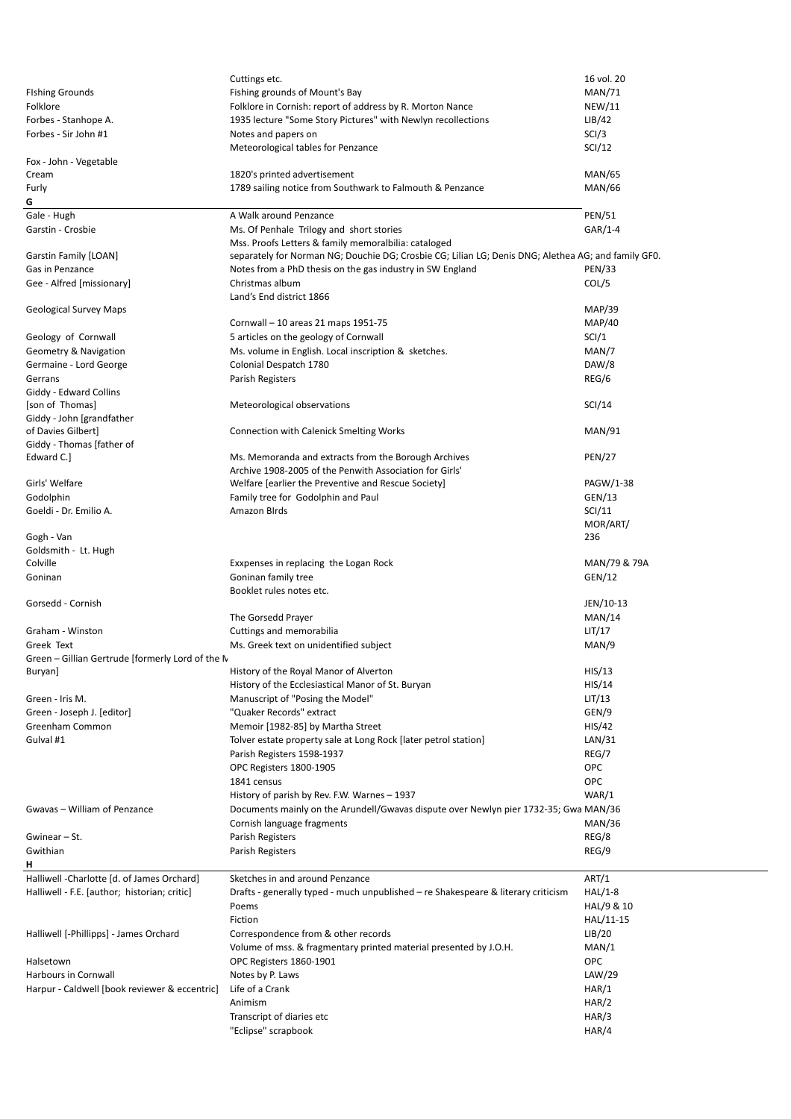|                                                  | Cuttings etc.                                                                                                                                               | 16 vol. 20     |
|--------------------------------------------------|-------------------------------------------------------------------------------------------------------------------------------------------------------------|----------------|
| <b>Fishing Grounds</b>                           | Fishing grounds of Mount's Bay                                                                                                                              | <b>MAN/71</b>  |
| Folklore                                         | Folklore in Cornish: report of address by R. Morton Nance                                                                                                   | <b>NEW/11</b>  |
| Forbes - Stanhope A.                             | 1935 lecture "Some Story Pictures" with Newlyn recollections                                                                                                | LIB/42         |
| Forbes - Sir John #1                             | Notes and papers on                                                                                                                                         | SCI/3          |
|                                                  | Meteorological tables for Penzance                                                                                                                          | SCI/12         |
| Fox - John - Vegetable                           |                                                                                                                                                             |                |
| Cream                                            | 1820's printed advertisement                                                                                                                                | <b>MAN/65</b>  |
| Furly                                            | 1789 sailing notice from Southwark to Falmouth & Penzance                                                                                                   | <b>MAN/66</b>  |
| G                                                |                                                                                                                                                             |                |
| Gale - Hugh                                      | A Walk around Penzance                                                                                                                                      | <b>PEN/51</b>  |
| Garstin - Crosbie                                | Ms. Of Penhale Trilogy and short stories                                                                                                                    | $GAR/1-4$      |
|                                                  | Mss. Proofs Letters & family memoralbilia: cataloged<br>separately for Norman NG; Douchie DG; Crosbie CG; Lilian LG; Denis DNG; Alethea AG; and family GF0. |                |
| Garstin Family [LOAN]<br>Gas in Penzance         | Notes from a PhD thesis on the gas industry in SW England                                                                                                   | <b>PEN/33</b>  |
| Gee - Alfred [missionary]                        | Christmas album                                                                                                                                             | COL/5          |
|                                                  | Land's End district 1866                                                                                                                                    |                |
| Geological Survey Maps                           |                                                                                                                                                             | <b>MAP/39</b>  |
|                                                  | Cornwall – 10 areas 21 maps 1951-75                                                                                                                         | <b>MAP/40</b>  |
| Geology of Cornwall                              | 5 articles on the geology of Cornwall                                                                                                                       | SCI/1          |
| Geometry & Navigation                            | Ms. volume in English. Local inscription & sketches.                                                                                                        | MAN/7          |
| Germaine - Lord George                           | Colonial Despatch 1780                                                                                                                                      | DAW/8          |
| Gerrans                                          | Parish Registers                                                                                                                                            | REG/6          |
| Giddy - Edward Collins                           |                                                                                                                                                             |                |
| [son of Thomas]                                  | Meteorological observations                                                                                                                                 | SCI/14         |
| Giddy - John [grandfather                        |                                                                                                                                                             |                |
| of Davies Gilbert]                               | Connection with Calenick Smelting Works                                                                                                                     | <b>MAN/91</b>  |
| Giddy - Thomas [father of                        |                                                                                                                                                             |                |
| Edward C.]                                       | Ms. Memoranda and extracts from the Borough Archives                                                                                                        | <b>PEN/27</b>  |
| Girls' Welfare                                   | Archive 1908-2005 of the Penwith Association for Girls'<br>Welfare [earlier the Preventive and Rescue Society]                                              | PAGW/1-38      |
| Godolphin                                        | Family tree for Godolphin and Paul                                                                                                                          | GEN/13         |
| Goeldi - Dr. Emilio A.                           | Amazon Birds                                                                                                                                                | SCI/11         |
|                                                  |                                                                                                                                                             | MOR/ART/       |
| Gogh - Van                                       |                                                                                                                                                             | 236            |
| Goldsmith - Lt. Hugh                             |                                                                                                                                                             |                |
| Colville                                         | Exxpenses in replacing the Logan Rock                                                                                                                       | MAN/79 & 79A   |
| Goninan                                          | Goninan family tree                                                                                                                                         | GEN/12         |
|                                                  | Booklet rules notes etc.                                                                                                                                    |                |
| Gorsedd - Cornish                                |                                                                                                                                                             | JEN/10-13      |
|                                                  |                                                                                                                                                             |                |
|                                                  | The Gorsedd Prayer                                                                                                                                          | MAN/14         |
| Graham - Winston                                 | Cuttings and memorabilia                                                                                                                                    | LIT/17         |
| Greek Text                                       | Ms. Greek text on unidentified subject                                                                                                                      | MAN/9          |
| Green - Gillian Gertrude [formerly Lord of the N |                                                                                                                                                             |                |
| Buryan]                                          | History of the Royal Manor of Alverton                                                                                                                      | HIS/13         |
|                                                  | History of the Ecclesiastical Manor of St. Buryan                                                                                                           | HIS/14         |
| Green - Iris M.                                  | Manuscript of "Posing the Model"                                                                                                                            | LIT/13         |
| Green - Joseph J. [editor]                       | "Quaker Records" extract                                                                                                                                    | GEN/9          |
| Greenham Common                                  | Memoir [1982-85] by Martha Street                                                                                                                           | HIS/42         |
| Gulval #1                                        | Tolver estate property sale at Long Rock [later petrol station]                                                                                             | LAN/31         |
|                                                  | Parish Registers 1598-1937                                                                                                                                  | REG/7          |
|                                                  | OPC Registers 1800-1905                                                                                                                                     | <b>OPC</b>     |
|                                                  | 1841 census                                                                                                                                                 | <b>OPC</b>     |
|                                                  | History of parish by Rev. F.W. Warnes - 1937                                                                                                                | WAR/1          |
| Gwavas - William of Penzance                     | Documents mainly on the Arundell/Gwavas dispute over Newlyn pier 1732-35; Gwa MAN/36                                                                        |                |
|                                                  | Cornish language fragments                                                                                                                                  | <b>MAN/36</b>  |
| Gwinear - St.<br>Gwithian                        | Parish Registers                                                                                                                                            | REG/8<br>REG/9 |
| н                                                | Parish Registers                                                                                                                                            |                |
| Halliwell -Charlotte [d. of James Orchard]       | Sketches in and around Penzance                                                                                                                             | ART/1          |
| Halliwell - F.E. [author; historian; critic]     | Drafts - generally typed - much unpublished - re Shakespeare & literary criticism                                                                           | $HAL/1-8$      |
|                                                  | Poems                                                                                                                                                       | HAL/9 & 10     |
|                                                  | Fiction                                                                                                                                                     | HAL/11-15      |
| Halliwell [-Phillipps] - James Orchard           | Correspondence from & other records                                                                                                                         | LIB/20         |
|                                                  | Volume of mss. & fragmentary printed material presented by J.O.H.                                                                                           | MAN/1          |
| Halsetown                                        | OPC Registers 1860-1901                                                                                                                                     | <b>OPC</b>     |
| Harbours in Cornwall                             | Notes by P. Laws                                                                                                                                            | LAW/29         |
| Harpur - Caldwell [book reviewer & eccentric]    | Life of a Crank                                                                                                                                             | HAR/1          |
|                                                  | Animism                                                                                                                                                     | HAR/2          |
|                                                  | Transcript of diaries etc<br>"Eclipse" scrapbook                                                                                                            | HAR/3<br>HAR/4 |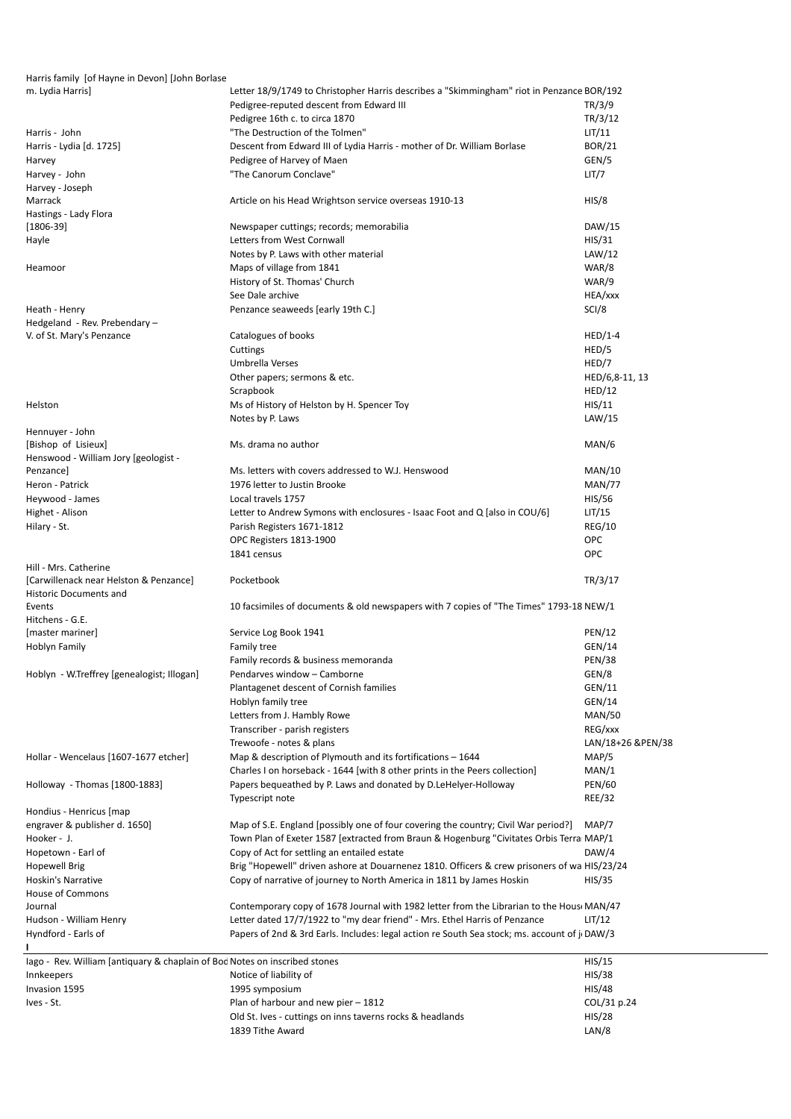Harris family [of Hayne in Devon] [John Borlase m. Lydia Harris] Letter 18/9/1749 to Christopher Harris describes a "Skimmingham" riot in Penzance BOR/192 Pedigree-reputed descent from Edward III TR/3/9 Pedigree 16th c. to circa 1870 TR/3/12 Harris - John **Example 2018** UIT/11 **The Destruction of the Tolmen**" CHT/11 **LIT/11** Harris - Lydia [d. 1725] Descent from Edward III of Lydia Harris - mother of Dr. William Borlase BOR/21 Harvey **Example 2 Harvey of Harvey of Maen** GEN/5 **GEN/5** Harvey - John "The Canorum Conclave" LIT/7 Harvey - Joseph Marrack **Article on his Head Wrightson service overseas 1910-13** HIS/8 HIS/8 Hastings - Lady Flora [1806-39] Newspaper cuttings; records; memorabilia DAW/15 Hayle **Hayle HIS/31 Letters from West Cornwall HIS/31 HIS/31** Notes by P. Laws with other material LAW/12 Heamoor **Maps of village from 1841** Maps of village from 1841 History of St. Thomas' Church WAR/9 See Dale archive **HEA/xxx** Heath - Henry **Example 2018** Penzance seaweeds [early 19th C.] **Penzance Seaweeds [early 19th C.]** SCI/8 Hedgeland - Rev. Prebendary – V. of St. Mary's Penzance Catalogues of books HED/1-4 Cuttings HED/5 Umbrella Verses HED/7 Other papers; sermons & etc. HED/6,8-11, 13 Scrapbook HED/12 Helston **MS of History of Helston by H. Spencer Toy HIS/11** HIS/11 Notes by P. Laws LAW/15 Hennuyer - John [Bishop of Lisieux] Ms. drama no author MAN/6 Henswood - William Jory [geologist - Ms. letters with covers addressed to W.J. Henswood MAN/10 Heron - Patrick 1976 letter to Justin Brooke MAN/77 Heywood - James **Example 2018** Local travels 1757 **History 2018** HIS/56 Highet - Alison **Letter to Andrew Symons with enclosures - Isaac Foot and Q** [also in COU/6] LIT/15 Hilary - St. **Parish Registers 1671-1812** REG/10 OPC Registers 1813-1900 OPC 1841 census OPC Hill - Mrs. Catherine [Carwillenack near Helston & Penzance] Pocketbook TR/3/17 Historic Documents and Events 10 facsimiles of documents & old newspapers with 7 copies of "The Times" 1793-1815NEW/1 Hitchens - G.E. [master mariner] Service Log Book 1941 **PEN/12** PEN/12 Hoblyn Family Family Family tree GEN/14 and the GEN/14 set of the GEN/14 set of the GEN/14 set of the GEN/14 set of the GEN/14 Family records & business memoranda PEN/38 Hoblyn - W.Treffrey [genealogist; Illogan] Pendarves window – Camborne GEN/8 Plantagenet descent of Cornish families GEN/11 Hoblyn family tree GEN/14 Letters from J. Hambly Rowe MAN/50 Transcriber - parish registers **REG/xxx** Trewoofe - notes & plans LAN/18+26 &PEN/38 Hollar - Wencelaus [1607-1677 etcher] Map & description of Plymouth and its fortifications – 1644 MAP/5 Charles I on horseback - 1644 [with 8 other prints in the Peers collection] MAN/1 Holloway - Thomas [1800-1883] Papers bequeathed by P. Laws and donated by D. LeHelyer-Holloway PEN/60 Typescript note REE/32 Hondius - Henricus [map engraver & publisher d. 1650] Map of S.E. England [possibly one of four covering the country; Civil War period?] MAP/7 Hooker - J. Town Plan of Exeter 1587 [extracted from Braun & Hogenburg "Civitates Orbis Terra MAP/1 Hopetown - Earl of CAU Copy of Act for settling an entailed estate CAU CAU CAU/4 Hopewell Brig Brig "Hopewell" driven ashore at Douarnenez 1810. Officers & crew prisoners of wa HIS/23/24 Hoskin's Narrative **Copy of narrative of journey to North America in 1811** by James Hoskin HIS/35 House of Commons Journal Contemporary copy of 1678 Journal with 1982 letter from the Librarian to the Hous MAN/47 Hudson - William Henry Letter dated 17/7/1922 to "my dear friend" - Mrs. Ethel Harris of Penzance LIT/12 Hyndford - Earls of Papers of 2nd & 3rd Earls. Includes: legal action re South Sea stock; ms. account of j DAW/3 **I** lago - Rev. William [antiquary & chaplain of Bod Notes on inscribed stones HIS/15 Innkeepers **Notice of liability of Notice of liability of Notice is a set of the MIS/38** Invasion 1595 **1995** symposium **HIS/48** and the United States of the United States of the United States of the United States of the United States of the United States of the United States of the United States of the United Ives - St. Plan of harbour and new pier – 1812 COL/31 p.24 Old St. Ives - cuttings on inns taverns rocks & headlands HIS/28 1839 Tithe Award **LAN/8** The Award LAN/8 **LAN/8**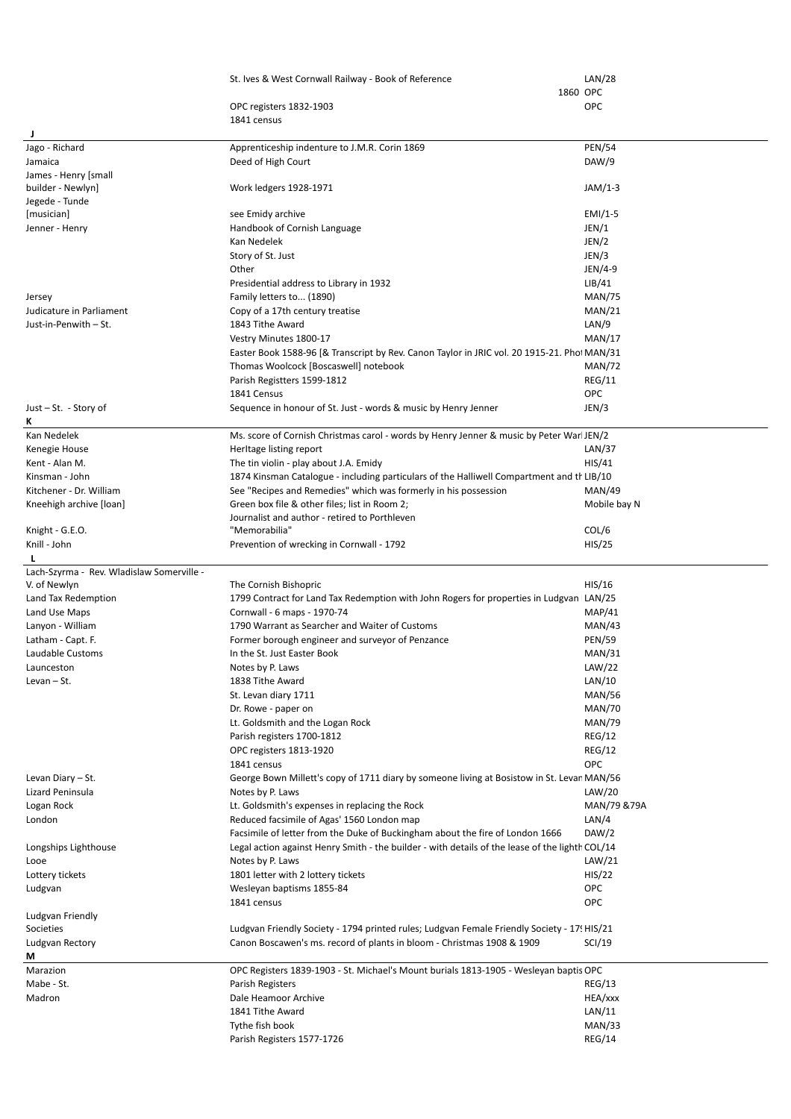|                                           | St. Ives & West Cornwall Railway - Book of Reference                                                                                 | LAN/28                  |
|-------------------------------------------|--------------------------------------------------------------------------------------------------------------------------------------|-------------------------|
|                                           | 1860 OPC                                                                                                                             |                         |
|                                           | OPC registers 1832-1903                                                                                                              | <b>OPC</b>              |
|                                           | 1841 census                                                                                                                          |                         |
| J<br>Jago - Richard                       | Apprenticeship indenture to J.M.R. Corin 1869                                                                                        | <b>PEN/54</b>           |
| Jamaica                                   | Deed of High Court                                                                                                                   | DAW/9                   |
| James - Henry [small                      |                                                                                                                                      |                         |
| builder - Newlyn]                         | Work ledgers 1928-1971                                                                                                               | $JAM/1-3$               |
| Jegede - Tunde                            |                                                                                                                                      |                         |
| [musician]                                | see Emidy archive                                                                                                                    | $EMI/1-5$               |
| Jenner - Henry                            | Handbook of Cornish Language                                                                                                         | JEN/1                   |
|                                           | Kan Nedelek                                                                                                                          | JEN/2                   |
|                                           | Story of St. Just                                                                                                                    | JEN/3                   |
|                                           | Other                                                                                                                                | JEN/4-9                 |
| Jersey                                    | Presidential address to Library in 1932<br>Family letters to (1890)                                                                  | LIB/41<br><b>MAN/75</b> |
| Judicature in Parliament                  | Copy of a 17th century treatise                                                                                                      | MAN/21                  |
| Just-in-Penwith - St.                     | 1843 Tithe Award                                                                                                                     | LAN/9                   |
|                                           | Vestry Minutes 1800-17                                                                                                               | MAN/17                  |
|                                           | Easter Book 1588-96 [& Transcript by Rev. Canon Taylor in JRIC vol. 20 1915-21. Pho: MAN/31                                          |                         |
|                                           | Thomas Woolcock [Boscaswell] notebook                                                                                                | <b>MAN/72</b>           |
|                                           | Parish Registters 1599-1812                                                                                                          | <b>REG/11</b>           |
|                                           | 1841 Census                                                                                                                          | <b>OPC</b>              |
| Just $-$ St. $-$ Story of                 | Sequence in honour of St. Just - words & music by Henry Jenner                                                                       | JEN/3                   |
| ĸ                                         |                                                                                                                                      |                         |
| Kan Nedelek                               | Ms. score of Cornish Christmas carol - words by Henry Jenner & music by Peter War JEN/2                                              |                         |
| Kenegie House                             | Herltage listing report                                                                                                              | LAN/37                  |
| Kent - Alan M.<br>Kinsman - John          | The tin violin - play about J.A. Emidy<br>1874 Kinsman Catalogue - including particulars of the Halliwell Compartment and the LIB/10 | HIS/41                  |
| Kitchener - Dr. William                   | See "Recipes and Remedies" which was formerly in his possession                                                                      | <b>MAN/49</b>           |
| Kneehigh archive [loan]                   | Green box file & other files; list in Room 2;                                                                                        | Mobile bay N            |
|                                           | Journalist and author - retired to Porthleven                                                                                        |                         |
| Knight - G.E.O.                           | "Memorabilia"                                                                                                                        | COL/6                   |
| Knill - John                              | Prevention of wrecking in Cornwall - 1792                                                                                            | HIS/25                  |
|                                           |                                                                                                                                      |                         |
|                                           |                                                                                                                                      |                         |
| Lach-Szyrma - Rev. Wladislaw Somerville - |                                                                                                                                      |                         |
| V. of Newlyn                              | The Cornish Bishopric                                                                                                                | HIS/16                  |
| Land Tax Redemption                       | 1799 Contract for Land Tax Redemption with John Rogers for properties in Ludgvan LAN/25                                              |                         |
| Land Use Maps                             | Cornwall - 6 maps - 1970-74                                                                                                          | <b>MAP/41</b>           |
| Lanyon - William                          | 1790 Warrant as Searcher and Waiter of Customs                                                                                       | MAN/43                  |
| Latham - Capt. F.<br>Laudable Customs     | Former borough engineer and surveyor of Penzance<br>In the St. Just Easter Book                                                      | <b>PEN/59</b><br>MAN/31 |
| Launceston                                | Notes by P. Laws                                                                                                                     | LAW/22                  |
| Levan $-$ St.                             | 1838 Tithe Award                                                                                                                     | LAN/10                  |
|                                           | St. Levan diary 1711                                                                                                                 | <b>MAN/56</b>           |
|                                           | Dr. Rowe - paper on                                                                                                                  | <b>MAN/70</b>           |
|                                           | Lt. Goldsmith and the Logan Rock                                                                                                     | <b>MAN/79</b>           |
|                                           | Parish registers 1700-1812                                                                                                           | <b>REG/12</b>           |
|                                           | OPC registers 1813-1920                                                                                                              | <b>REG/12</b>           |
|                                           | 1841 census                                                                                                                          | <b>OPC</b>              |
| Levan Diary - St.                         | George Bown Millett's copy of 1711 diary by someone living at Bosistow in St. Levar MAN/56                                           |                         |
| Lizard Peninsula                          | Notes by P. Laws                                                                                                                     | LAW/20                  |
| Logan Rock<br>London                      | Lt. Goldsmith's expenses in replacing the Rock<br>Reduced facsimile of Agas' 1560 London map                                         | MAN/79 &79A<br>LAN/4    |
|                                           | Facsimile of letter from the Duke of Buckingham about the fire of London 1666                                                        | DAW/2                   |
| Longships Lighthouse                      | Legal action against Henry Smith - the builder - with details of the lease of the lighth COL/14                                      |                         |
| Looe                                      | Notes by P. Laws                                                                                                                     | LAW/21                  |
| Lottery tickets                           | 1801 letter with 2 lottery tickets                                                                                                   | HIS/22                  |
| Ludgvan                                   | Wesleyan baptisms 1855-84                                                                                                            | <b>OPC</b>              |
|                                           | 1841 census                                                                                                                          | <b>OPC</b>              |
| Ludgvan Friendly                          |                                                                                                                                      |                         |
| Societies                                 | Ludgvan Friendly Society - 1794 printed rules; Ludgvan Female Friendly Society - 17! HIS/21                                          |                         |
| Ludgvan Rectory<br>М                      | Canon Boscawen's ms. record of plants in bloom - Christmas 1908 & 1909                                                               | SCI/19                  |
| Marazion                                  | OPC Registers 1839-1903 - St. Michael's Mount burials 1813-1905 - Wesleyan baptis OPC                                                |                         |
| Mabe - St.                                | Parish Registers                                                                                                                     | REG/13                  |
| Madron                                    | Dale Heamoor Archive                                                                                                                 | HEA/xxx                 |
|                                           | 1841 Tithe Award                                                                                                                     | LAN/11                  |
|                                           | Tythe fish book<br>Parish Registers 1577-1726                                                                                        | MAN/33<br>REG/14        |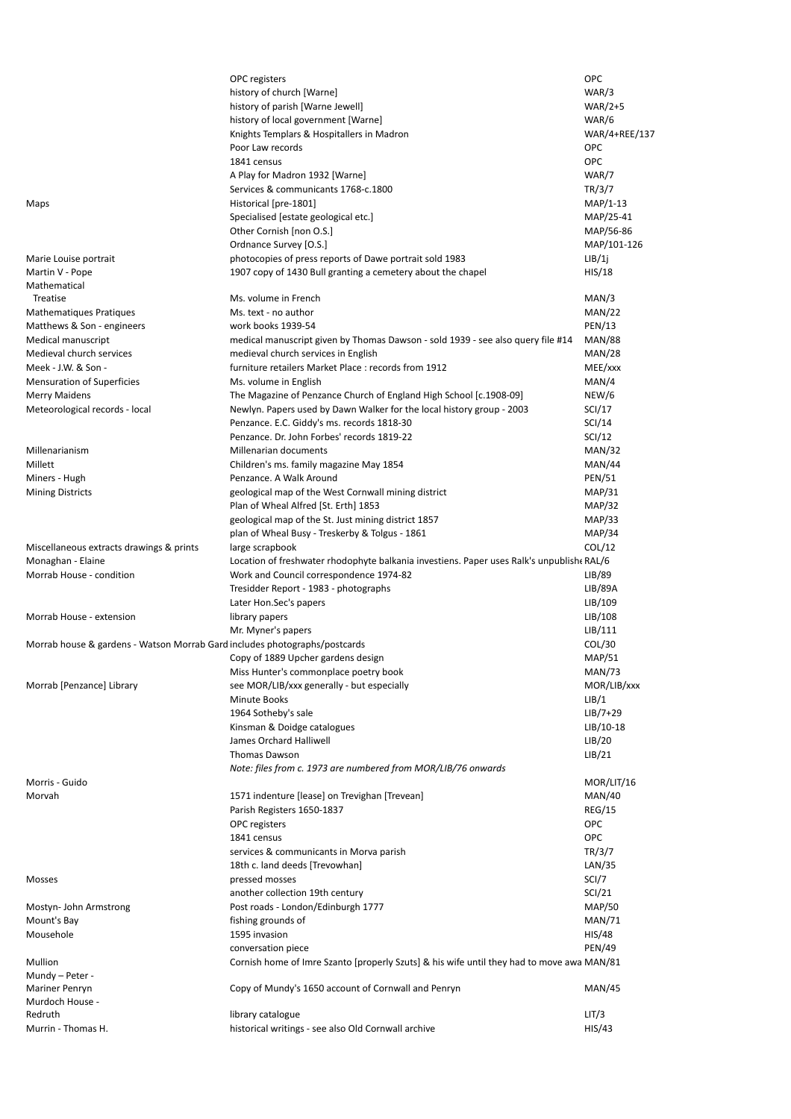|                                                                            | OPC registers                                                                             | <b>OPC</b>     |
|----------------------------------------------------------------------------|-------------------------------------------------------------------------------------------|----------------|
|                                                                            | history of church [Warne]                                                                 | WAR/3          |
|                                                                            | history of parish [Warne Jewell]                                                          | <b>WAR/2+5</b> |
|                                                                            | history of local government [Warne]                                                       | WAR/6          |
|                                                                            | Knights Templars & Hospitallers in Madron                                                 | WAR/4+REE/137  |
|                                                                            |                                                                                           |                |
|                                                                            | Poor Law records                                                                          | OPC            |
|                                                                            | 1841 census                                                                               | <b>OPC</b>     |
|                                                                            | A Play for Madron 1932 [Warne]                                                            | WAR/7          |
|                                                                            | Services & communicants 1768-c.1800                                                       | TR/3/7         |
| Maps                                                                       | Historical [pre-1801]                                                                     | $MAP/1-13$     |
|                                                                            | Specialised [estate geological etc.]                                                      | MAP/25-41      |
|                                                                            | Other Cornish [non O.S.]                                                                  | MAP/56-86      |
|                                                                            | Ordnance Survey [O.S.]                                                                    | MAP/101-126    |
| Marie Louise portrait                                                      | photocopies of press reports of Dawe portrait sold 1983                                   | LIB/1j         |
| Martin V - Pope                                                            | 1907 copy of 1430 Bull granting a cemetery about the chapel                               | HIS/18         |
| Mathematical                                                               |                                                                                           |                |
| Treatise                                                                   | Ms. volume in French                                                                      | MAN/3          |
|                                                                            |                                                                                           |                |
| Mathematiques Pratiques                                                    | Ms. text - no author                                                                      | MAN/22         |
| Matthews & Son - engineers                                                 | work books 1939-54                                                                        | <b>PEN/13</b>  |
| Medical manuscript                                                         | medical manuscript given by Thomas Dawson - sold 1939 - see also query file #14           | <b>MAN/88</b>  |
| Medieval church services                                                   | medieval church services in English                                                       | <b>MAN/28</b>  |
| Meek - J.W. & Son -                                                        | furniture retailers Market Place: records from 1912                                       | MEE/xxx        |
| Mensuration of Superficies                                                 | Ms. volume in English                                                                     | MAN/4          |
| Merry Maidens                                                              | The Magazine of Penzance Church of England High School [c.1908-09]                        | NEW/6          |
| Meteorological records - local                                             | Newlyn. Papers used by Dawn Walker for the local history group - 2003                     | SCI/17         |
|                                                                            | Penzance. E.C. Giddy's ms. records 1818-30                                                | SCI/14         |
|                                                                            | Penzance. Dr. John Forbes' records 1819-22                                                | SCI/12         |
|                                                                            |                                                                                           |                |
| Millenarianism                                                             | Millenarian documents                                                                     | <b>MAN/32</b>  |
| Millett                                                                    | Children's ms. family magazine May 1854                                                   | <b>MAN/44</b>  |
| Miners - Hugh                                                              | Penzance. A Walk Around                                                                   | <b>PEN/51</b>  |
| <b>Mining Districts</b>                                                    | geological map of the West Cornwall mining district                                       | MAP/31         |
|                                                                            | Plan of Wheal Alfred [St. Erth] 1853                                                      | <b>MAP/32</b>  |
|                                                                            | geological map of the St. Just mining district 1857                                       | MAP/33         |
|                                                                            | plan of Wheal Busy - Treskerby & Tolgus - 1861                                            | <b>MAP/34</b>  |
| Miscellaneous extracts drawings & prints                                   | large scrapbook                                                                           | COL/12         |
| Monaghan - Elaine                                                          | Location of freshwater rhodophyte balkania investiens. Paper uses Ralk's unpublish(RAL/6) |                |
| Morrab House - condition                                                   | Work and Council correspondence 1974-82                                                   | LIB/89         |
|                                                                            |                                                                                           |                |
|                                                                            | Tresidder Report - 1983 - photographs                                                     | LIB/89A        |
|                                                                            | Later Hon.Sec's papers                                                                    | LIB/109        |
| Morrab House - extension                                                   | library papers                                                                            | LIB/108        |
|                                                                            | Mr. Myner's papers                                                                        | LIB/111        |
| Morrab house & gardens - Watson Morrab Gard includes photographs/postcards |                                                                                           | COL/30         |
|                                                                            | Copy of 1889 Upcher gardens design                                                        | <b>MAP/51</b>  |
|                                                                            | Miss Hunter's commonplace poetry book                                                     | <b>MAN/73</b>  |
| Morrab [Penzance] Library                                                  | see MOR/LIB/xxx generally - but especially                                                | MOR/LIB/xxx    |
|                                                                            | <b>Minute Books</b>                                                                       | LIB/1          |
|                                                                            | 1964 Sotheby's sale                                                                       | $LIB/7+29$     |
|                                                                            | Kinsman & Doidge catalogues                                                               | $LIB/10-18$    |
|                                                                            |                                                                                           |                |
|                                                                            | James Orchard Halliwell                                                                   | LIB/20         |
|                                                                            | <b>Thomas Dawson</b>                                                                      | LIB/21         |
|                                                                            | Note: files from c. 1973 are numbered from MOR/LIB/76 onwards                             |                |
| Morris - Guido                                                             |                                                                                           | MOR/LIT/16     |
| Morvah                                                                     | 1571 indenture [lease] on Trevighan [Trevean]                                             | <b>MAN/40</b>  |
|                                                                            | Parish Registers 1650-1837                                                                | <b>REG/15</b>  |
|                                                                            | OPC registers                                                                             | <b>OPC</b>     |
|                                                                            | 1841 census                                                                               | <b>OPC</b>     |
|                                                                            | services & communicants in Morva parish                                                   | TR/3/7         |
|                                                                            | 18th c. land deeds [Trevowhan]                                                            | LAN/35         |
|                                                                            |                                                                                           | SCI/7          |
| Mosses                                                                     | pressed mosses                                                                            |                |
|                                                                            | another collection 19th century                                                           | <b>SCI/21</b>  |
| Mostyn-John Armstrong                                                      | Post roads - London/Edinburgh 1777                                                        | <b>MAP/50</b>  |
| Mount's Bay                                                                | fishing grounds of                                                                        | <b>MAN/71</b>  |
| Mousehole                                                                  | 1595 invasion                                                                             | <b>HIS/48</b>  |
|                                                                            | conversation piece                                                                        | <b>PEN/49</b>  |
| Mullion                                                                    | Cornish home of Imre Szanto [properly Szuts] & his wife until they had to move awa MAN/81 |                |
| Mundy - Peter -                                                            |                                                                                           |                |
| Mariner Penryn                                                             | Copy of Mundy's 1650 account of Cornwall and Penryn                                       | <b>MAN/45</b>  |
| Murdoch House -                                                            |                                                                                           |                |
| Redruth                                                                    | library catalogue                                                                         | LIT/3          |
| Murrin - Thomas H.                                                         | historical writings - see also Old Cornwall archive                                       | HIS/43         |
|                                                                            |                                                                                           |                |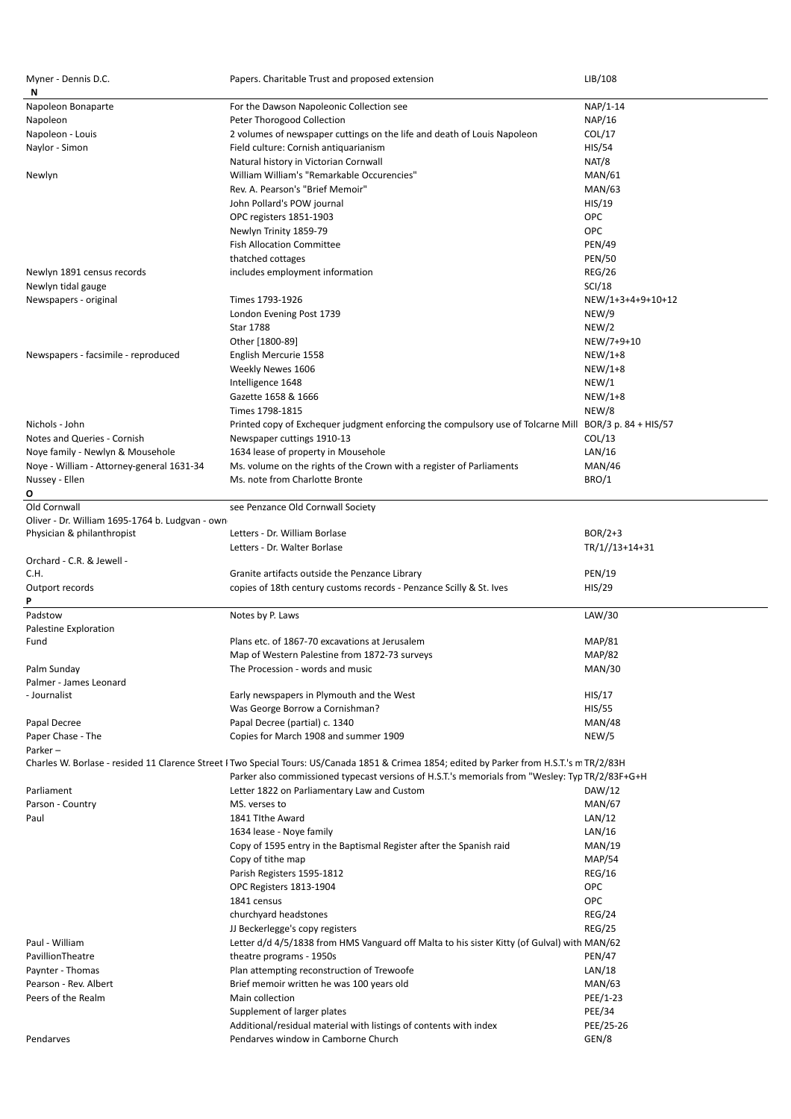| Myner - Dennis D.C.<br>N                        | Papers. Charitable Trust and proposed extension                                                                                              | LIB/108           |
|-------------------------------------------------|----------------------------------------------------------------------------------------------------------------------------------------------|-------------------|
| Napoleon Bonaparte                              | For the Dawson Napoleonic Collection see                                                                                                     | NAP/1-14          |
| Napoleon                                        | Peter Thorogood Collection                                                                                                                   | NAP/16            |
| Napoleon - Louis                                | 2 volumes of newspaper cuttings on the life and death of Louis Napoleon                                                                      | COL/17            |
| Naylor - Simon                                  | Field culture: Cornish antiquarianism                                                                                                        | HIS/54            |
|                                                 |                                                                                                                                              |                   |
|                                                 | Natural history in Victorian Cornwall                                                                                                        | NAT/8             |
| Newlyn                                          | William William's "Remarkable Occurencies"                                                                                                   | MAN/61            |
|                                                 | Rev. A. Pearson's "Brief Memoir"                                                                                                             | MAN/63            |
|                                                 | John Pollard's POW journal                                                                                                                   | HIS/19            |
|                                                 | OPC registers 1851-1903                                                                                                                      | <b>OPC</b>        |
|                                                 | Newlyn Trinity 1859-79                                                                                                                       | <b>OPC</b>        |
|                                                 | <b>Fish Allocation Committee</b>                                                                                                             | <b>PEN/49</b>     |
|                                                 | thatched cottages                                                                                                                            | <b>PEN/50</b>     |
| Newlyn 1891 census records                      | includes employment information                                                                                                              | <b>REG/26</b>     |
| Newlyn tidal gauge                              |                                                                                                                                              | SCI/18            |
| Newspapers - original                           | Times 1793-1926                                                                                                                              | NEW/1+3+4+9+10+12 |
|                                                 | London Evening Post 1739                                                                                                                     | NEW/9             |
|                                                 | <b>Star 1788</b>                                                                                                                             | NEW/2             |
|                                                 | Other [1800-89]                                                                                                                              | NEW/7+9+10        |
|                                                 |                                                                                                                                              |                   |
| Newspapers - facsimile - reproduced             | English Mercurie 1558                                                                                                                        | $NEW/1+8$         |
|                                                 | Weekly Newes 1606                                                                                                                            | $NEW/1+8$         |
|                                                 | Intelligence 1648                                                                                                                            | NEW/1             |
|                                                 | Gazette 1658 & 1666                                                                                                                          | $NEW/1+8$         |
|                                                 | Times 1798-1815                                                                                                                              | NEW/8             |
| Nichols - John                                  | Printed copy of Exchequer judgment enforcing the compulsory use of Tolcarne Mill BOR/3 p. 84 + HIS/57                                        |                   |
| Notes and Queries - Cornish                     | Newspaper cuttings 1910-13                                                                                                                   | COL/13            |
| Noye family - Newlyn & Mousehole                | 1634 lease of property in Mousehole                                                                                                          | LAN/16            |
| Noye - William - Attorney-general 1631-34       | Ms. volume on the rights of the Crown with a register of Parliaments                                                                         | <b>MAN/46</b>     |
| Nussey - Ellen                                  | Ms. note from Charlotte Bronte                                                                                                               | BRO/1             |
| O                                               |                                                                                                                                              |                   |
| Old Cornwall                                    | see Penzance Old Cornwall Society                                                                                                            |                   |
| Oliver - Dr. William 1695-1764 b. Ludgvan - own |                                                                                                                                              |                   |
| Physician & philanthropist                      | Letters - Dr. William Borlase                                                                                                                | $BOR/2+3$         |
|                                                 | Letters - Dr. Walter Borlase                                                                                                                 | $TR/1//13+14+31$  |
|                                                 |                                                                                                                                              |                   |
|                                                 |                                                                                                                                              |                   |
| Orchard - C.R. & Jewell -                       |                                                                                                                                              |                   |
| C.H.                                            | Granite artifacts outside the Penzance Library                                                                                               | <b>PEN/19</b>     |
| Outport records                                 | copies of 18th century customs records - Penzance Scilly & St. Ives                                                                          | HIS/29            |
| P                                               |                                                                                                                                              |                   |
| Padstow                                         | Notes by P. Laws                                                                                                                             | LAW/30            |
| Palestine Exploration                           |                                                                                                                                              |                   |
| Fund                                            | Plans etc. of 1867-70 excavations at Jerusalem                                                                                               | <b>MAP/81</b>     |
|                                                 | Map of Western Palestine from 1872-73 surveys                                                                                                | <b>MAP/82</b>     |
| Palm Sunday                                     | The Procession - words and music                                                                                                             | MAN/30            |
| Palmer - James Leonard                          |                                                                                                                                              |                   |
| - Journalist                                    | Early newspapers in Plymouth and the West                                                                                                    | HIS/17            |
|                                                 | Was George Borrow a Cornishman?                                                                                                              | <b>HIS/55</b>     |
| Papal Decree                                    | Papal Decree (partial) c. 1340                                                                                                               | <b>MAN/48</b>     |
| Paper Chase - The                               | Copies for March 1908 and summer 1909                                                                                                        | NEW/5             |
| Parker-                                         |                                                                                                                                              |                   |
|                                                 | Charles W. Borlase - resided 11 Clarence Street I Two Special Tours: US/Canada 1851 & Crimea 1854; edited by Parker from H.S.T.'s m TR/2/83H |                   |
|                                                 | Parker also commissioned typecast versions of H.S.T.'s memorials from "Wesley: Typ TR/2/83F+G+H                                              |                   |
| Parliament                                      | Letter 1822 on Parliamentary Law and Custom                                                                                                  | DAW/12            |
| Parson - Country                                | MS. verses to                                                                                                                                | <b>MAN/67</b>     |
| Paul                                            | 1841 Tithe Award                                                                                                                             | LAN/12            |
|                                                 | 1634 lease - Noye family                                                                                                                     | LAN/16            |
|                                                 |                                                                                                                                              | MAN/19            |
|                                                 | Copy of 1595 entry in the Baptismal Register after the Spanish raid                                                                          |                   |
|                                                 | Copy of tithe map                                                                                                                            | <b>MAP/54</b>     |
|                                                 | Parish Registers 1595-1812                                                                                                                   | <b>REG/16</b>     |
|                                                 | OPC Registers 1813-1904                                                                                                                      | <b>OPC</b>        |
|                                                 | 1841 census                                                                                                                                  | <b>OPC</b>        |
|                                                 | churchyard headstones                                                                                                                        | <b>REG/24</b>     |
|                                                 | JJ Beckerlegge's copy registers                                                                                                              | <b>REG/25</b>     |
| Paul - William                                  | Letter d/d 4/5/1838 from HMS Vanguard off Malta to his sister Kitty (of Gulval) with MAN/62                                                  |                   |
| PavillionTheatre                                | theatre programs - 1950s                                                                                                                     | <b>PEN/47</b>     |
| Paynter - Thomas                                | Plan attempting reconstruction of Trewoofe                                                                                                   | LAN/18            |
| Pearson - Rev. Albert                           | Brief memoir written he was 100 years old                                                                                                    | MAN/63            |
| Peers of the Realm                              | Main collection                                                                                                                              | PEE/1-23          |
|                                                 | Supplement of larger plates                                                                                                                  | <b>PEE/34</b>     |
|                                                 | Additional/residual material with listings of contents with index                                                                            | PEE/25-26         |
| Pendarves                                       | Pendarves window in Camborne Church                                                                                                          | GEN/8             |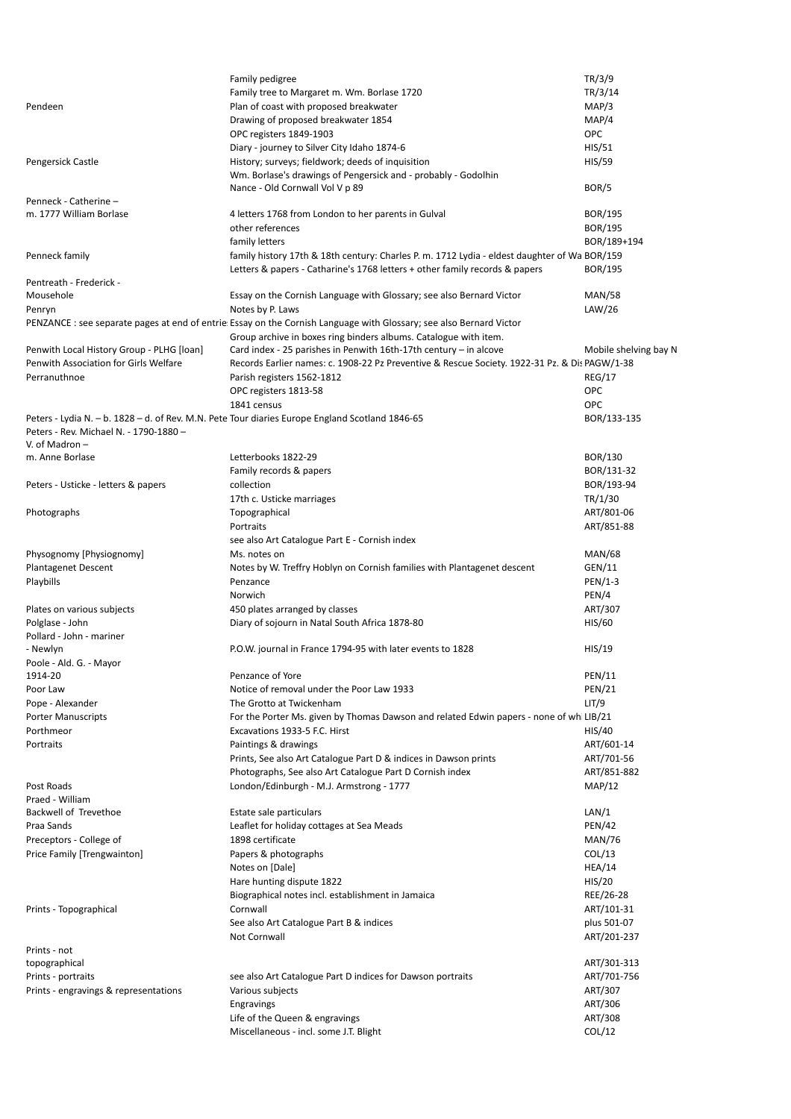| TR/3/14<br>Family tree to Margaret m. Wm. Borlase 1720<br>Plan of coast with proposed breakwater<br>MAP/3<br>Pendeen<br>MAP/4<br>Drawing of proposed breakwater 1854<br>OPC<br>OPC registers 1849-1903<br>Diary - journey to Silver City Idaho 1874-6<br>HIS/51<br>History; surveys; fieldwork; deeds of inquisition<br>HIS/59<br>Pengersick Castle<br>Wm. Borlase's drawings of Pengersick and - probably - Godolhin<br>BOR/5<br>Nance - Old Cornwall Vol V p 89<br>Penneck - Catherine -<br>m. 1777 William Borlase<br><b>BOR/195</b><br>4 letters 1768 from London to her parents in Gulval<br>other references<br><b>BOR/195</b><br>family letters<br>BOR/189+194<br>Penneck family<br>family history 17th & 18th century: Charles P. m. 1712 Lydia - eldest daughter of Wa BOR/159<br>Letters & papers - Catharine's 1768 letters + other family records & papers<br><b>BOR/195</b><br>Pentreath - Frederick -<br><b>MAN/58</b><br>Mousehole<br>Essay on the Cornish Language with Glossary; see also Bernard Victor<br>Notes by P. Laws<br>LAW/26<br>Penryn<br>PENZANCE: see separate pages at end of entrie Essay on the Cornish Language with Glossary; see also Bernard Victor<br>Group archive in boxes ring binders albums. Catalogue with item.<br>Card index - 25 parishes in Penwith 16th-17th century $-$ in alcove<br>Penwith Local History Group - PLHG [loan]<br>Mobile shelving bay N<br>Penwith Association for Girls Welfare<br>Records Earlier names: c. 1908-22 Pz Preventive & Rescue Society. 1922-31 Pz. & Dis PAGW/1-38<br>Perranuthnoe<br>REG/17<br>Parish registers 1562-1812<br><b>OPC</b><br>OPC registers 1813-58<br>OPC<br>1841 census<br>Peters - Lydia N. - b. 1828 - d. of Rev. M.N. Pete Tour diaries Europe England Scotland 1846-65<br>BOR/133-135<br>Peters - Rev. Michael N. - 1790-1880 -<br>V. of Madron –<br>Letterbooks 1822-29<br>BOR/130<br>Family records & papers<br>BOR/131-32<br>BOR/193-94<br>Peters - Usticke - letters & papers<br>collection<br>TR/1/30<br>17th c. Usticke marriages<br>ART/801-06<br>Photographs<br>Topographical<br>Portraits<br>ART/851-88<br>see also Art Catalogue Part E - Cornish index<br>Physognomy [Physiognomy]<br><b>MAN/68</b><br>Ms. notes on<br>Plantagenet Descent<br>GEN/11<br>Notes by W. Treffry Hoblyn on Cornish families with Plantagenet descent<br>Playbills<br>$PEN/1-3$<br>Penzance<br>PEN/4<br>Norwich<br>450 plates arranged by classes<br>ART/307<br>Plates on various subjects<br>Polglase - John<br>Diary of sojourn in Natal South Africa 1878-80<br>HIS/60<br>HIS/19<br>- Newlyn<br>P.O.W. journal in France 1794-95 with later events to 1828<br>Poole - Ald. G. - Mayor<br>1914-20<br><b>PEN/11</b><br>Penzance of Yore<br>Notice of removal under the Poor Law 1933<br><b>PEN/21</b><br>LIT/9<br>Pope - Alexander<br>The Grotto at Twickenham<br>Porter Manuscripts<br>For the Porter Ms. given by Thomas Dawson and related Edwin papers - none of wh LIB/21<br>HIS/40<br>Excavations 1933-5 F.C. Hirst<br>Paintings & drawings<br>ART/601-14<br>Portraits<br>Prints, See also Art Catalogue Part D & indices in Dawson prints<br>ART/701-56<br>Photographs, See also Art Catalogue Part D Cornish index<br>ART/851-882<br>London/Edinburgh - M.J. Armstrong - 1777<br>MAP/12<br>Post Roads<br>Praed - William<br>Backwell of Trevethoe<br>LAN/1<br>Estate sale particulars<br>Leaflet for holiday cottages at Sea Meads<br><b>PEN/42</b><br>Preceptors - College of<br>1898 certificate<br><b>MAN/76</b><br>Price Family [Trengwainton]<br>Papers & photographs<br>COL/13<br>Notes on [Dale]<br>HEA/14<br>HIS/20<br>Hare hunting dispute 1822<br>REE/26-28<br>Biographical notes incl. establishment in Jamaica<br>Cornwall<br>ART/101-31<br>plus 501-07<br>See also Art Catalogue Part B & indices<br>ART/201-237<br>Not Cornwall<br>topographical<br>ART/301-313<br>ART/701-756<br>Prints - portraits<br>see also Art Catalogue Part D indices for Dawson portraits<br>ART/307<br>Various subjects<br>ART/306<br>Engravings<br>ART/308<br>Life of the Queen & engravings<br>Miscellaneous - incl. some J.T. Blight<br>COL/12 |                                       | Family pedigree | TR/3/9 |
|---------------------------------------------------------------------------------------------------------------------------------------------------------------------------------------------------------------------------------------------------------------------------------------------------------------------------------------------------------------------------------------------------------------------------------------------------------------------------------------------------------------------------------------------------------------------------------------------------------------------------------------------------------------------------------------------------------------------------------------------------------------------------------------------------------------------------------------------------------------------------------------------------------------------------------------------------------------------------------------------------------------------------------------------------------------------------------------------------------------------------------------------------------------------------------------------------------------------------------------------------------------------------------------------------------------------------------------------------------------------------------------------------------------------------------------------------------------------------------------------------------------------------------------------------------------------------------------------------------------------------------------------------------------------------------------------------------------------------------------------------------------------------------------------------------------------------------------------------------------------------------------------------------------------------------------------------------------------------------------------------------------------------------------------------------------------------------------------------------------------------------------------------------------------------------------------------------------------------------------------------------------------------------------------------------------------------------------------------------------------------------------------------------------------------------------------------------------------------------------------------------------------------------------------------------------------------------------------------------------------------------------------------------------------------------------------------------------------------------------------------------------------------------------------------------------------------------------------------------------------------------------------------------------------------------------------------------------------------------------------------------------------------------------------------------------------------------------------------------------------------------------------------------------------------------------------------------------------------------------------------------------------------------------------------------------------------------------------------------------------------------------------------------------------------------------------------------------------------------------------------------------------------------------------------------------------------------------------------------------------------------------------------------------------------------------------------------------------------------------------------------------------------------------------------------------------------------------------------------------------------------------------------------------------------------------------------------------------------------------------------------------------------------------------------------------------------------------------------------------------------------------------|---------------------------------------|-----------------|--------|
|                                                                                                                                                                                                                                                                                                                                                                                                                                                                                                                                                                                                                                                                                                                                                                                                                                                                                                                                                                                                                                                                                                                                                                                                                                                                                                                                                                                                                                                                                                                                                                                                                                                                                                                                                                                                                                                                                                                                                                                                                                                                                                                                                                                                                                                                                                                                                                                                                                                                                                                                                                                                                                                                                                                                                                                                                                                                                                                                                                                                                                                                                                                                                                                                                                                                                                                                                                                                                                                                                                                                                                                                                                                                                                                                                                                                                                                                                                                                                                                                                                                                                                                                             |                                       |                 |        |
|                                                                                                                                                                                                                                                                                                                                                                                                                                                                                                                                                                                                                                                                                                                                                                                                                                                                                                                                                                                                                                                                                                                                                                                                                                                                                                                                                                                                                                                                                                                                                                                                                                                                                                                                                                                                                                                                                                                                                                                                                                                                                                                                                                                                                                                                                                                                                                                                                                                                                                                                                                                                                                                                                                                                                                                                                                                                                                                                                                                                                                                                                                                                                                                                                                                                                                                                                                                                                                                                                                                                                                                                                                                                                                                                                                                                                                                                                                                                                                                                                                                                                                                                             |                                       |                 |        |
|                                                                                                                                                                                                                                                                                                                                                                                                                                                                                                                                                                                                                                                                                                                                                                                                                                                                                                                                                                                                                                                                                                                                                                                                                                                                                                                                                                                                                                                                                                                                                                                                                                                                                                                                                                                                                                                                                                                                                                                                                                                                                                                                                                                                                                                                                                                                                                                                                                                                                                                                                                                                                                                                                                                                                                                                                                                                                                                                                                                                                                                                                                                                                                                                                                                                                                                                                                                                                                                                                                                                                                                                                                                                                                                                                                                                                                                                                                                                                                                                                                                                                                                                             |                                       |                 |        |
|                                                                                                                                                                                                                                                                                                                                                                                                                                                                                                                                                                                                                                                                                                                                                                                                                                                                                                                                                                                                                                                                                                                                                                                                                                                                                                                                                                                                                                                                                                                                                                                                                                                                                                                                                                                                                                                                                                                                                                                                                                                                                                                                                                                                                                                                                                                                                                                                                                                                                                                                                                                                                                                                                                                                                                                                                                                                                                                                                                                                                                                                                                                                                                                                                                                                                                                                                                                                                                                                                                                                                                                                                                                                                                                                                                                                                                                                                                                                                                                                                                                                                                                                             |                                       |                 |        |
|                                                                                                                                                                                                                                                                                                                                                                                                                                                                                                                                                                                                                                                                                                                                                                                                                                                                                                                                                                                                                                                                                                                                                                                                                                                                                                                                                                                                                                                                                                                                                                                                                                                                                                                                                                                                                                                                                                                                                                                                                                                                                                                                                                                                                                                                                                                                                                                                                                                                                                                                                                                                                                                                                                                                                                                                                                                                                                                                                                                                                                                                                                                                                                                                                                                                                                                                                                                                                                                                                                                                                                                                                                                                                                                                                                                                                                                                                                                                                                                                                                                                                                                                             |                                       |                 |        |
|                                                                                                                                                                                                                                                                                                                                                                                                                                                                                                                                                                                                                                                                                                                                                                                                                                                                                                                                                                                                                                                                                                                                                                                                                                                                                                                                                                                                                                                                                                                                                                                                                                                                                                                                                                                                                                                                                                                                                                                                                                                                                                                                                                                                                                                                                                                                                                                                                                                                                                                                                                                                                                                                                                                                                                                                                                                                                                                                                                                                                                                                                                                                                                                                                                                                                                                                                                                                                                                                                                                                                                                                                                                                                                                                                                                                                                                                                                                                                                                                                                                                                                                                             |                                       |                 |        |
|                                                                                                                                                                                                                                                                                                                                                                                                                                                                                                                                                                                                                                                                                                                                                                                                                                                                                                                                                                                                                                                                                                                                                                                                                                                                                                                                                                                                                                                                                                                                                                                                                                                                                                                                                                                                                                                                                                                                                                                                                                                                                                                                                                                                                                                                                                                                                                                                                                                                                                                                                                                                                                                                                                                                                                                                                                                                                                                                                                                                                                                                                                                                                                                                                                                                                                                                                                                                                                                                                                                                                                                                                                                                                                                                                                                                                                                                                                                                                                                                                                                                                                                                             |                                       |                 |        |
|                                                                                                                                                                                                                                                                                                                                                                                                                                                                                                                                                                                                                                                                                                                                                                                                                                                                                                                                                                                                                                                                                                                                                                                                                                                                                                                                                                                                                                                                                                                                                                                                                                                                                                                                                                                                                                                                                                                                                                                                                                                                                                                                                                                                                                                                                                                                                                                                                                                                                                                                                                                                                                                                                                                                                                                                                                                                                                                                                                                                                                                                                                                                                                                                                                                                                                                                                                                                                                                                                                                                                                                                                                                                                                                                                                                                                                                                                                                                                                                                                                                                                                                                             |                                       |                 |        |
|                                                                                                                                                                                                                                                                                                                                                                                                                                                                                                                                                                                                                                                                                                                                                                                                                                                                                                                                                                                                                                                                                                                                                                                                                                                                                                                                                                                                                                                                                                                                                                                                                                                                                                                                                                                                                                                                                                                                                                                                                                                                                                                                                                                                                                                                                                                                                                                                                                                                                                                                                                                                                                                                                                                                                                                                                                                                                                                                                                                                                                                                                                                                                                                                                                                                                                                                                                                                                                                                                                                                                                                                                                                                                                                                                                                                                                                                                                                                                                                                                                                                                                                                             |                                       |                 |        |
|                                                                                                                                                                                                                                                                                                                                                                                                                                                                                                                                                                                                                                                                                                                                                                                                                                                                                                                                                                                                                                                                                                                                                                                                                                                                                                                                                                                                                                                                                                                                                                                                                                                                                                                                                                                                                                                                                                                                                                                                                                                                                                                                                                                                                                                                                                                                                                                                                                                                                                                                                                                                                                                                                                                                                                                                                                                                                                                                                                                                                                                                                                                                                                                                                                                                                                                                                                                                                                                                                                                                                                                                                                                                                                                                                                                                                                                                                                                                                                                                                                                                                                                                             |                                       |                 |        |
|                                                                                                                                                                                                                                                                                                                                                                                                                                                                                                                                                                                                                                                                                                                                                                                                                                                                                                                                                                                                                                                                                                                                                                                                                                                                                                                                                                                                                                                                                                                                                                                                                                                                                                                                                                                                                                                                                                                                                                                                                                                                                                                                                                                                                                                                                                                                                                                                                                                                                                                                                                                                                                                                                                                                                                                                                                                                                                                                                                                                                                                                                                                                                                                                                                                                                                                                                                                                                                                                                                                                                                                                                                                                                                                                                                                                                                                                                                                                                                                                                                                                                                                                             |                                       |                 |        |
|                                                                                                                                                                                                                                                                                                                                                                                                                                                                                                                                                                                                                                                                                                                                                                                                                                                                                                                                                                                                                                                                                                                                                                                                                                                                                                                                                                                                                                                                                                                                                                                                                                                                                                                                                                                                                                                                                                                                                                                                                                                                                                                                                                                                                                                                                                                                                                                                                                                                                                                                                                                                                                                                                                                                                                                                                                                                                                                                                                                                                                                                                                                                                                                                                                                                                                                                                                                                                                                                                                                                                                                                                                                                                                                                                                                                                                                                                                                                                                                                                                                                                                                                             |                                       |                 |        |
|                                                                                                                                                                                                                                                                                                                                                                                                                                                                                                                                                                                                                                                                                                                                                                                                                                                                                                                                                                                                                                                                                                                                                                                                                                                                                                                                                                                                                                                                                                                                                                                                                                                                                                                                                                                                                                                                                                                                                                                                                                                                                                                                                                                                                                                                                                                                                                                                                                                                                                                                                                                                                                                                                                                                                                                                                                                                                                                                                                                                                                                                                                                                                                                                                                                                                                                                                                                                                                                                                                                                                                                                                                                                                                                                                                                                                                                                                                                                                                                                                                                                                                                                             |                                       |                 |        |
|                                                                                                                                                                                                                                                                                                                                                                                                                                                                                                                                                                                                                                                                                                                                                                                                                                                                                                                                                                                                                                                                                                                                                                                                                                                                                                                                                                                                                                                                                                                                                                                                                                                                                                                                                                                                                                                                                                                                                                                                                                                                                                                                                                                                                                                                                                                                                                                                                                                                                                                                                                                                                                                                                                                                                                                                                                                                                                                                                                                                                                                                                                                                                                                                                                                                                                                                                                                                                                                                                                                                                                                                                                                                                                                                                                                                                                                                                                                                                                                                                                                                                                                                             |                                       |                 |        |
|                                                                                                                                                                                                                                                                                                                                                                                                                                                                                                                                                                                                                                                                                                                                                                                                                                                                                                                                                                                                                                                                                                                                                                                                                                                                                                                                                                                                                                                                                                                                                                                                                                                                                                                                                                                                                                                                                                                                                                                                                                                                                                                                                                                                                                                                                                                                                                                                                                                                                                                                                                                                                                                                                                                                                                                                                                                                                                                                                                                                                                                                                                                                                                                                                                                                                                                                                                                                                                                                                                                                                                                                                                                                                                                                                                                                                                                                                                                                                                                                                                                                                                                                             |                                       |                 |        |
|                                                                                                                                                                                                                                                                                                                                                                                                                                                                                                                                                                                                                                                                                                                                                                                                                                                                                                                                                                                                                                                                                                                                                                                                                                                                                                                                                                                                                                                                                                                                                                                                                                                                                                                                                                                                                                                                                                                                                                                                                                                                                                                                                                                                                                                                                                                                                                                                                                                                                                                                                                                                                                                                                                                                                                                                                                                                                                                                                                                                                                                                                                                                                                                                                                                                                                                                                                                                                                                                                                                                                                                                                                                                                                                                                                                                                                                                                                                                                                                                                                                                                                                                             |                                       |                 |        |
|                                                                                                                                                                                                                                                                                                                                                                                                                                                                                                                                                                                                                                                                                                                                                                                                                                                                                                                                                                                                                                                                                                                                                                                                                                                                                                                                                                                                                                                                                                                                                                                                                                                                                                                                                                                                                                                                                                                                                                                                                                                                                                                                                                                                                                                                                                                                                                                                                                                                                                                                                                                                                                                                                                                                                                                                                                                                                                                                                                                                                                                                                                                                                                                                                                                                                                                                                                                                                                                                                                                                                                                                                                                                                                                                                                                                                                                                                                                                                                                                                                                                                                                                             |                                       |                 |        |
|                                                                                                                                                                                                                                                                                                                                                                                                                                                                                                                                                                                                                                                                                                                                                                                                                                                                                                                                                                                                                                                                                                                                                                                                                                                                                                                                                                                                                                                                                                                                                                                                                                                                                                                                                                                                                                                                                                                                                                                                                                                                                                                                                                                                                                                                                                                                                                                                                                                                                                                                                                                                                                                                                                                                                                                                                                                                                                                                                                                                                                                                                                                                                                                                                                                                                                                                                                                                                                                                                                                                                                                                                                                                                                                                                                                                                                                                                                                                                                                                                                                                                                                                             |                                       |                 |        |
|                                                                                                                                                                                                                                                                                                                                                                                                                                                                                                                                                                                                                                                                                                                                                                                                                                                                                                                                                                                                                                                                                                                                                                                                                                                                                                                                                                                                                                                                                                                                                                                                                                                                                                                                                                                                                                                                                                                                                                                                                                                                                                                                                                                                                                                                                                                                                                                                                                                                                                                                                                                                                                                                                                                                                                                                                                                                                                                                                                                                                                                                                                                                                                                                                                                                                                                                                                                                                                                                                                                                                                                                                                                                                                                                                                                                                                                                                                                                                                                                                                                                                                                                             |                                       |                 |        |
|                                                                                                                                                                                                                                                                                                                                                                                                                                                                                                                                                                                                                                                                                                                                                                                                                                                                                                                                                                                                                                                                                                                                                                                                                                                                                                                                                                                                                                                                                                                                                                                                                                                                                                                                                                                                                                                                                                                                                                                                                                                                                                                                                                                                                                                                                                                                                                                                                                                                                                                                                                                                                                                                                                                                                                                                                                                                                                                                                                                                                                                                                                                                                                                                                                                                                                                                                                                                                                                                                                                                                                                                                                                                                                                                                                                                                                                                                                                                                                                                                                                                                                                                             |                                       |                 |        |
|                                                                                                                                                                                                                                                                                                                                                                                                                                                                                                                                                                                                                                                                                                                                                                                                                                                                                                                                                                                                                                                                                                                                                                                                                                                                                                                                                                                                                                                                                                                                                                                                                                                                                                                                                                                                                                                                                                                                                                                                                                                                                                                                                                                                                                                                                                                                                                                                                                                                                                                                                                                                                                                                                                                                                                                                                                                                                                                                                                                                                                                                                                                                                                                                                                                                                                                                                                                                                                                                                                                                                                                                                                                                                                                                                                                                                                                                                                                                                                                                                                                                                                                                             |                                       |                 |        |
|                                                                                                                                                                                                                                                                                                                                                                                                                                                                                                                                                                                                                                                                                                                                                                                                                                                                                                                                                                                                                                                                                                                                                                                                                                                                                                                                                                                                                                                                                                                                                                                                                                                                                                                                                                                                                                                                                                                                                                                                                                                                                                                                                                                                                                                                                                                                                                                                                                                                                                                                                                                                                                                                                                                                                                                                                                                                                                                                                                                                                                                                                                                                                                                                                                                                                                                                                                                                                                                                                                                                                                                                                                                                                                                                                                                                                                                                                                                                                                                                                                                                                                                                             |                                       |                 |        |
|                                                                                                                                                                                                                                                                                                                                                                                                                                                                                                                                                                                                                                                                                                                                                                                                                                                                                                                                                                                                                                                                                                                                                                                                                                                                                                                                                                                                                                                                                                                                                                                                                                                                                                                                                                                                                                                                                                                                                                                                                                                                                                                                                                                                                                                                                                                                                                                                                                                                                                                                                                                                                                                                                                                                                                                                                                                                                                                                                                                                                                                                                                                                                                                                                                                                                                                                                                                                                                                                                                                                                                                                                                                                                                                                                                                                                                                                                                                                                                                                                                                                                                                                             |                                       |                 |        |
|                                                                                                                                                                                                                                                                                                                                                                                                                                                                                                                                                                                                                                                                                                                                                                                                                                                                                                                                                                                                                                                                                                                                                                                                                                                                                                                                                                                                                                                                                                                                                                                                                                                                                                                                                                                                                                                                                                                                                                                                                                                                                                                                                                                                                                                                                                                                                                                                                                                                                                                                                                                                                                                                                                                                                                                                                                                                                                                                                                                                                                                                                                                                                                                                                                                                                                                                                                                                                                                                                                                                                                                                                                                                                                                                                                                                                                                                                                                                                                                                                                                                                                                                             |                                       |                 |        |
|                                                                                                                                                                                                                                                                                                                                                                                                                                                                                                                                                                                                                                                                                                                                                                                                                                                                                                                                                                                                                                                                                                                                                                                                                                                                                                                                                                                                                                                                                                                                                                                                                                                                                                                                                                                                                                                                                                                                                                                                                                                                                                                                                                                                                                                                                                                                                                                                                                                                                                                                                                                                                                                                                                                                                                                                                                                                                                                                                                                                                                                                                                                                                                                                                                                                                                                                                                                                                                                                                                                                                                                                                                                                                                                                                                                                                                                                                                                                                                                                                                                                                                                                             |                                       |                 |        |
|                                                                                                                                                                                                                                                                                                                                                                                                                                                                                                                                                                                                                                                                                                                                                                                                                                                                                                                                                                                                                                                                                                                                                                                                                                                                                                                                                                                                                                                                                                                                                                                                                                                                                                                                                                                                                                                                                                                                                                                                                                                                                                                                                                                                                                                                                                                                                                                                                                                                                                                                                                                                                                                                                                                                                                                                                                                                                                                                                                                                                                                                                                                                                                                                                                                                                                                                                                                                                                                                                                                                                                                                                                                                                                                                                                                                                                                                                                                                                                                                                                                                                                                                             |                                       |                 |        |
|                                                                                                                                                                                                                                                                                                                                                                                                                                                                                                                                                                                                                                                                                                                                                                                                                                                                                                                                                                                                                                                                                                                                                                                                                                                                                                                                                                                                                                                                                                                                                                                                                                                                                                                                                                                                                                                                                                                                                                                                                                                                                                                                                                                                                                                                                                                                                                                                                                                                                                                                                                                                                                                                                                                                                                                                                                                                                                                                                                                                                                                                                                                                                                                                                                                                                                                                                                                                                                                                                                                                                                                                                                                                                                                                                                                                                                                                                                                                                                                                                                                                                                                                             |                                       |                 |        |
|                                                                                                                                                                                                                                                                                                                                                                                                                                                                                                                                                                                                                                                                                                                                                                                                                                                                                                                                                                                                                                                                                                                                                                                                                                                                                                                                                                                                                                                                                                                                                                                                                                                                                                                                                                                                                                                                                                                                                                                                                                                                                                                                                                                                                                                                                                                                                                                                                                                                                                                                                                                                                                                                                                                                                                                                                                                                                                                                                                                                                                                                                                                                                                                                                                                                                                                                                                                                                                                                                                                                                                                                                                                                                                                                                                                                                                                                                                                                                                                                                                                                                                                                             |                                       |                 |        |
|                                                                                                                                                                                                                                                                                                                                                                                                                                                                                                                                                                                                                                                                                                                                                                                                                                                                                                                                                                                                                                                                                                                                                                                                                                                                                                                                                                                                                                                                                                                                                                                                                                                                                                                                                                                                                                                                                                                                                                                                                                                                                                                                                                                                                                                                                                                                                                                                                                                                                                                                                                                                                                                                                                                                                                                                                                                                                                                                                                                                                                                                                                                                                                                                                                                                                                                                                                                                                                                                                                                                                                                                                                                                                                                                                                                                                                                                                                                                                                                                                                                                                                                                             |                                       |                 |        |
|                                                                                                                                                                                                                                                                                                                                                                                                                                                                                                                                                                                                                                                                                                                                                                                                                                                                                                                                                                                                                                                                                                                                                                                                                                                                                                                                                                                                                                                                                                                                                                                                                                                                                                                                                                                                                                                                                                                                                                                                                                                                                                                                                                                                                                                                                                                                                                                                                                                                                                                                                                                                                                                                                                                                                                                                                                                                                                                                                                                                                                                                                                                                                                                                                                                                                                                                                                                                                                                                                                                                                                                                                                                                                                                                                                                                                                                                                                                                                                                                                                                                                                                                             |                                       |                 |        |
|                                                                                                                                                                                                                                                                                                                                                                                                                                                                                                                                                                                                                                                                                                                                                                                                                                                                                                                                                                                                                                                                                                                                                                                                                                                                                                                                                                                                                                                                                                                                                                                                                                                                                                                                                                                                                                                                                                                                                                                                                                                                                                                                                                                                                                                                                                                                                                                                                                                                                                                                                                                                                                                                                                                                                                                                                                                                                                                                                                                                                                                                                                                                                                                                                                                                                                                                                                                                                                                                                                                                                                                                                                                                                                                                                                                                                                                                                                                                                                                                                                                                                                                                             |                                       |                 |        |
|                                                                                                                                                                                                                                                                                                                                                                                                                                                                                                                                                                                                                                                                                                                                                                                                                                                                                                                                                                                                                                                                                                                                                                                                                                                                                                                                                                                                                                                                                                                                                                                                                                                                                                                                                                                                                                                                                                                                                                                                                                                                                                                                                                                                                                                                                                                                                                                                                                                                                                                                                                                                                                                                                                                                                                                                                                                                                                                                                                                                                                                                                                                                                                                                                                                                                                                                                                                                                                                                                                                                                                                                                                                                                                                                                                                                                                                                                                                                                                                                                                                                                                                                             |                                       |                 |        |
|                                                                                                                                                                                                                                                                                                                                                                                                                                                                                                                                                                                                                                                                                                                                                                                                                                                                                                                                                                                                                                                                                                                                                                                                                                                                                                                                                                                                                                                                                                                                                                                                                                                                                                                                                                                                                                                                                                                                                                                                                                                                                                                                                                                                                                                                                                                                                                                                                                                                                                                                                                                                                                                                                                                                                                                                                                                                                                                                                                                                                                                                                                                                                                                                                                                                                                                                                                                                                                                                                                                                                                                                                                                                                                                                                                                                                                                                                                                                                                                                                                                                                                                                             |                                       |                 |        |
|                                                                                                                                                                                                                                                                                                                                                                                                                                                                                                                                                                                                                                                                                                                                                                                                                                                                                                                                                                                                                                                                                                                                                                                                                                                                                                                                                                                                                                                                                                                                                                                                                                                                                                                                                                                                                                                                                                                                                                                                                                                                                                                                                                                                                                                                                                                                                                                                                                                                                                                                                                                                                                                                                                                                                                                                                                                                                                                                                                                                                                                                                                                                                                                                                                                                                                                                                                                                                                                                                                                                                                                                                                                                                                                                                                                                                                                                                                                                                                                                                                                                                                                                             |                                       |                 |        |
|                                                                                                                                                                                                                                                                                                                                                                                                                                                                                                                                                                                                                                                                                                                                                                                                                                                                                                                                                                                                                                                                                                                                                                                                                                                                                                                                                                                                                                                                                                                                                                                                                                                                                                                                                                                                                                                                                                                                                                                                                                                                                                                                                                                                                                                                                                                                                                                                                                                                                                                                                                                                                                                                                                                                                                                                                                                                                                                                                                                                                                                                                                                                                                                                                                                                                                                                                                                                                                                                                                                                                                                                                                                                                                                                                                                                                                                                                                                                                                                                                                                                                                                                             |                                       |                 |        |
|                                                                                                                                                                                                                                                                                                                                                                                                                                                                                                                                                                                                                                                                                                                                                                                                                                                                                                                                                                                                                                                                                                                                                                                                                                                                                                                                                                                                                                                                                                                                                                                                                                                                                                                                                                                                                                                                                                                                                                                                                                                                                                                                                                                                                                                                                                                                                                                                                                                                                                                                                                                                                                                                                                                                                                                                                                                                                                                                                                                                                                                                                                                                                                                                                                                                                                                                                                                                                                                                                                                                                                                                                                                                                                                                                                                                                                                                                                                                                                                                                                                                                                                                             | m. Anne Borlase                       |                 |        |
|                                                                                                                                                                                                                                                                                                                                                                                                                                                                                                                                                                                                                                                                                                                                                                                                                                                                                                                                                                                                                                                                                                                                                                                                                                                                                                                                                                                                                                                                                                                                                                                                                                                                                                                                                                                                                                                                                                                                                                                                                                                                                                                                                                                                                                                                                                                                                                                                                                                                                                                                                                                                                                                                                                                                                                                                                                                                                                                                                                                                                                                                                                                                                                                                                                                                                                                                                                                                                                                                                                                                                                                                                                                                                                                                                                                                                                                                                                                                                                                                                                                                                                                                             |                                       |                 |        |
|                                                                                                                                                                                                                                                                                                                                                                                                                                                                                                                                                                                                                                                                                                                                                                                                                                                                                                                                                                                                                                                                                                                                                                                                                                                                                                                                                                                                                                                                                                                                                                                                                                                                                                                                                                                                                                                                                                                                                                                                                                                                                                                                                                                                                                                                                                                                                                                                                                                                                                                                                                                                                                                                                                                                                                                                                                                                                                                                                                                                                                                                                                                                                                                                                                                                                                                                                                                                                                                                                                                                                                                                                                                                                                                                                                                                                                                                                                                                                                                                                                                                                                                                             |                                       |                 |        |
|                                                                                                                                                                                                                                                                                                                                                                                                                                                                                                                                                                                                                                                                                                                                                                                                                                                                                                                                                                                                                                                                                                                                                                                                                                                                                                                                                                                                                                                                                                                                                                                                                                                                                                                                                                                                                                                                                                                                                                                                                                                                                                                                                                                                                                                                                                                                                                                                                                                                                                                                                                                                                                                                                                                                                                                                                                                                                                                                                                                                                                                                                                                                                                                                                                                                                                                                                                                                                                                                                                                                                                                                                                                                                                                                                                                                                                                                                                                                                                                                                                                                                                                                             |                                       |                 |        |
|                                                                                                                                                                                                                                                                                                                                                                                                                                                                                                                                                                                                                                                                                                                                                                                                                                                                                                                                                                                                                                                                                                                                                                                                                                                                                                                                                                                                                                                                                                                                                                                                                                                                                                                                                                                                                                                                                                                                                                                                                                                                                                                                                                                                                                                                                                                                                                                                                                                                                                                                                                                                                                                                                                                                                                                                                                                                                                                                                                                                                                                                                                                                                                                                                                                                                                                                                                                                                                                                                                                                                                                                                                                                                                                                                                                                                                                                                                                                                                                                                                                                                                                                             |                                       |                 |        |
|                                                                                                                                                                                                                                                                                                                                                                                                                                                                                                                                                                                                                                                                                                                                                                                                                                                                                                                                                                                                                                                                                                                                                                                                                                                                                                                                                                                                                                                                                                                                                                                                                                                                                                                                                                                                                                                                                                                                                                                                                                                                                                                                                                                                                                                                                                                                                                                                                                                                                                                                                                                                                                                                                                                                                                                                                                                                                                                                                                                                                                                                                                                                                                                                                                                                                                                                                                                                                                                                                                                                                                                                                                                                                                                                                                                                                                                                                                                                                                                                                                                                                                                                             |                                       |                 |        |
|                                                                                                                                                                                                                                                                                                                                                                                                                                                                                                                                                                                                                                                                                                                                                                                                                                                                                                                                                                                                                                                                                                                                                                                                                                                                                                                                                                                                                                                                                                                                                                                                                                                                                                                                                                                                                                                                                                                                                                                                                                                                                                                                                                                                                                                                                                                                                                                                                                                                                                                                                                                                                                                                                                                                                                                                                                                                                                                                                                                                                                                                                                                                                                                                                                                                                                                                                                                                                                                                                                                                                                                                                                                                                                                                                                                                                                                                                                                                                                                                                                                                                                                                             |                                       |                 |        |
|                                                                                                                                                                                                                                                                                                                                                                                                                                                                                                                                                                                                                                                                                                                                                                                                                                                                                                                                                                                                                                                                                                                                                                                                                                                                                                                                                                                                                                                                                                                                                                                                                                                                                                                                                                                                                                                                                                                                                                                                                                                                                                                                                                                                                                                                                                                                                                                                                                                                                                                                                                                                                                                                                                                                                                                                                                                                                                                                                                                                                                                                                                                                                                                                                                                                                                                                                                                                                                                                                                                                                                                                                                                                                                                                                                                                                                                                                                                                                                                                                                                                                                                                             |                                       |                 |        |
|                                                                                                                                                                                                                                                                                                                                                                                                                                                                                                                                                                                                                                                                                                                                                                                                                                                                                                                                                                                                                                                                                                                                                                                                                                                                                                                                                                                                                                                                                                                                                                                                                                                                                                                                                                                                                                                                                                                                                                                                                                                                                                                                                                                                                                                                                                                                                                                                                                                                                                                                                                                                                                                                                                                                                                                                                                                                                                                                                                                                                                                                                                                                                                                                                                                                                                                                                                                                                                                                                                                                                                                                                                                                                                                                                                                                                                                                                                                                                                                                                                                                                                                                             |                                       |                 |        |
|                                                                                                                                                                                                                                                                                                                                                                                                                                                                                                                                                                                                                                                                                                                                                                                                                                                                                                                                                                                                                                                                                                                                                                                                                                                                                                                                                                                                                                                                                                                                                                                                                                                                                                                                                                                                                                                                                                                                                                                                                                                                                                                                                                                                                                                                                                                                                                                                                                                                                                                                                                                                                                                                                                                                                                                                                                                                                                                                                                                                                                                                                                                                                                                                                                                                                                                                                                                                                                                                                                                                                                                                                                                                                                                                                                                                                                                                                                                                                                                                                                                                                                                                             |                                       |                 |        |
|                                                                                                                                                                                                                                                                                                                                                                                                                                                                                                                                                                                                                                                                                                                                                                                                                                                                                                                                                                                                                                                                                                                                                                                                                                                                                                                                                                                                                                                                                                                                                                                                                                                                                                                                                                                                                                                                                                                                                                                                                                                                                                                                                                                                                                                                                                                                                                                                                                                                                                                                                                                                                                                                                                                                                                                                                                                                                                                                                                                                                                                                                                                                                                                                                                                                                                                                                                                                                                                                                                                                                                                                                                                                                                                                                                                                                                                                                                                                                                                                                                                                                                                                             |                                       |                 |        |
|                                                                                                                                                                                                                                                                                                                                                                                                                                                                                                                                                                                                                                                                                                                                                                                                                                                                                                                                                                                                                                                                                                                                                                                                                                                                                                                                                                                                                                                                                                                                                                                                                                                                                                                                                                                                                                                                                                                                                                                                                                                                                                                                                                                                                                                                                                                                                                                                                                                                                                                                                                                                                                                                                                                                                                                                                                                                                                                                                                                                                                                                                                                                                                                                                                                                                                                                                                                                                                                                                                                                                                                                                                                                                                                                                                                                                                                                                                                                                                                                                                                                                                                                             |                                       |                 |        |
|                                                                                                                                                                                                                                                                                                                                                                                                                                                                                                                                                                                                                                                                                                                                                                                                                                                                                                                                                                                                                                                                                                                                                                                                                                                                                                                                                                                                                                                                                                                                                                                                                                                                                                                                                                                                                                                                                                                                                                                                                                                                                                                                                                                                                                                                                                                                                                                                                                                                                                                                                                                                                                                                                                                                                                                                                                                                                                                                                                                                                                                                                                                                                                                                                                                                                                                                                                                                                                                                                                                                                                                                                                                                                                                                                                                                                                                                                                                                                                                                                                                                                                                                             |                                       |                 |        |
|                                                                                                                                                                                                                                                                                                                                                                                                                                                                                                                                                                                                                                                                                                                                                                                                                                                                                                                                                                                                                                                                                                                                                                                                                                                                                                                                                                                                                                                                                                                                                                                                                                                                                                                                                                                                                                                                                                                                                                                                                                                                                                                                                                                                                                                                                                                                                                                                                                                                                                                                                                                                                                                                                                                                                                                                                                                                                                                                                                                                                                                                                                                                                                                                                                                                                                                                                                                                                                                                                                                                                                                                                                                                                                                                                                                                                                                                                                                                                                                                                                                                                                                                             |                                       |                 |        |
|                                                                                                                                                                                                                                                                                                                                                                                                                                                                                                                                                                                                                                                                                                                                                                                                                                                                                                                                                                                                                                                                                                                                                                                                                                                                                                                                                                                                                                                                                                                                                                                                                                                                                                                                                                                                                                                                                                                                                                                                                                                                                                                                                                                                                                                                                                                                                                                                                                                                                                                                                                                                                                                                                                                                                                                                                                                                                                                                                                                                                                                                                                                                                                                                                                                                                                                                                                                                                                                                                                                                                                                                                                                                                                                                                                                                                                                                                                                                                                                                                                                                                                                                             |                                       |                 |        |
|                                                                                                                                                                                                                                                                                                                                                                                                                                                                                                                                                                                                                                                                                                                                                                                                                                                                                                                                                                                                                                                                                                                                                                                                                                                                                                                                                                                                                                                                                                                                                                                                                                                                                                                                                                                                                                                                                                                                                                                                                                                                                                                                                                                                                                                                                                                                                                                                                                                                                                                                                                                                                                                                                                                                                                                                                                                                                                                                                                                                                                                                                                                                                                                                                                                                                                                                                                                                                                                                                                                                                                                                                                                                                                                                                                                                                                                                                                                                                                                                                                                                                                                                             |                                       |                 |        |
|                                                                                                                                                                                                                                                                                                                                                                                                                                                                                                                                                                                                                                                                                                                                                                                                                                                                                                                                                                                                                                                                                                                                                                                                                                                                                                                                                                                                                                                                                                                                                                                                                                                                                                                                                                                                                                                                                                                                                                                                                                                                                                                                                                                                                                                                                                                                                                                                                                                                                                                                                                                                                                                                                                                                                                                                                                                                                                                                                                                                                                                                                                                                                                                                                                                                                                                                                                                                                                                                                                                                                                                                                                                                                                                                                                                                                                                                                                                                                                                                                                                                                                                                             |                                       |                 |        |
|                                                                                                                                                                                                                                                                                                                                                                                                                                                                                                                                                                                                                                                                                                                                                                                                                                                                                                                                                                                                                                                                                                                                                                                                                                                                                                                                                                                                                                                                                                                                                                                                                                                                                                                                                                                                                                                                                                                                                                                                                                                                                                                                                                                                                                                                                                                                                                                                                                                                                                                                                                                                                                                                                                                                                                                                                                                                                                                                                                                                                                                                                                                                                                                                                                                                                                                                                                                                                                                                                                                                                                                                                                                                                                                                                                                                                                                                                                                                                                                                                                                                                                                                             | Pollard - John - mariner              |                 |        |
|                                                                                                                                                                                                                                                                                                                                                                                                                                                                                                                                                                                                                                                                                                                                                                                                                                                                                                                                                                                                                                                                                                                                                                                                                                                                                                                                                                                                                                                                                                                                                                                                                                                                                                                                                                                                                                                                                                                                                                                                                                                                                                                                                                                                                                                                                                                                                                                                                                                                                                                                                                                                                                                                                                                                                                                                                                                                                                                                                                                                                                                                                                                                                                                                                                                                                                                                                                                                                                                                                                                                                                                                                                                                                                                                                                                                                                                                                                                                                                                                                                                                                                                                             |                                       |                 |        |
|                                                                                                                                                                                                                                                                                                                                                                                                                                                                                                                                                                                                                                                                                                                                                                                                                                                                                                                                                                                                                                                                                                                                                                                                                                                                                                                                                                                                                                                                                                                                                                                                                                                                                                                                                                                                                                                                                                                                                                                                                                                                                                                                                                                                                                                                                                                                                                                                                                                                                                                                                                                                                                                                                                                                                                                                                                                                                                                                                                                                                                                                                                                                                                                                                                                                                                                                                                                                                                                                                                                                                                                                                                                                                                                                                                                                                                                                                                                                                                                                                                                                                                                                             |                                       |                 |        |
|                                                                                                                                                                                                                                                                                                                                                                                                                                                                                                                                                                                                                                                                                                                                                                                                                                                                                                                                                                                                                                                                                                                                                                                                                                                                                                                                                                                                                                                                                                                                                                                                                                                                                                                                                                                                                                                                                                                                                                                                                                                                                                                                                                                                                                                                                                                                                                                                                                                                                                                                                                                                                                                                                                                                                                                                                                                                                                                                                                                                                                                                                                                                                                                                                                                                                                                                                                                                                                                                                                                                                                                                                                                                                                                                                                                                                                                                                                                                                                                                                                                                                                                                             |                                       |                 |        |
|                                                                                                                                                                                                                                                                                                                                                                                                                                                                                                                                                                                                                                                                                                                                                                                                                                                                                                                                                                                                                                                                                                                                                                                                                                                                                                                                                                                                                                                                                                                                                                                                                                                                                                                                                                                                                                                                                                                                                                                                                                                                                                                                                                                                                                                                                                                                                                                                                                                                                                                                                                                                                                                                                                                                                                                                                                                                                                                                                                                                                                                                                                                                                                                                                                                                                                                                                                                                                                                                                                                                                                                                                                                                                                                                                                                                                                                                                                                                                                                                                                                                                                                                             |                                       |                 |        |
|                                                                                                                                                                                                                                                                                                                                                                                                                                                                                                                                                                                                                                                                                                                                                                                                                                                                                                                                                                                                                                                                                                                                                                                                                                                                                                                                                                                                                                                                                                                                                                                                                                                                                                                                                                                                                                                                                                                                                                                                                                                                                                                                                                                                                                                                                                                                                                                                                                                                                                                                                                                                                                                                                                                                                                                                                                                                                                                                                                                                                                                                                                                                                                                                                                                                                                                                                                                                                                                                                                                                                                                                                                                                                                                                                                                                                                                                                                                                                                                                                                                                                                                                             | Poor Law                              |                 |        |
|                                                                                                                                                                                                                                                                                                                                                                                                                                                                                                                                                                                                                                                                                                                                                                                                                                                                                                                                                                                                                                                                                                                                                                                                                                                                                                                                                                                                                                                                                                                                                                                                                                                                                                                                                                                                                                                                                                                                                                                                                                                                                                                                                                                                                                                                                                                                                                                                                                                                                                                                                                                                                                                                                                                                                                                                                                                                                                                                                                                                                                                                                                                                                                                                                                                                                                                                                                                                                                                                                                                                                                                                                                                                                                                                                                                                                                                                                                                                                                                                                                                                                                                                             |                                       |                 |        |
|                                                                                                                                                                                                                                                                                                                                                                                                                                                                                                                                                                                                                                                                                                                                                                                                                                                                                                                                                                                                                                                                                                                                                                                                                                                                                                                                                                                                                                                                                                                                                                                                                                                                                                                                                                                                                                                                                                                                                                                                                                                                                                                                                                                                                                                                                                                                                                                                                                                                                                                                                                                                                                                                                                                                                                                                                                                                                                                                                                                                                                                                                                                                                                                                                                                                                                                                                                                                                                                                                                                                                                                                                                                                                                                                                                                                                                                                                                                                                                                                                                                                                                                                             |                                       |                 |        |
|                                                                                                                                                                                                                                                                                                                                                                                                                                                                                                                                                                                                                                                                                                                                                                                                                                                                                                                                                                                                                                                                                                                                                                                                                                                                                                                                                                                                                                                                                                                                                                                                                                                                                                                                                                                                                                                                                                                                                                                                                                                                                                                                                                                                                                                                                                                                                                                                                                                                                                                                                                                                                                                                                                                                                                                                                                                                                                                                                                                                                                                                                                                                                                                                                                                                                                                                                                                                                                                                                                                                                                                                                                                                                                                                                                                                                                                                                                                                                                                                                                                                                                                                             |                                       |                 |        |
|                                                                                                                                                                                                                                                                                                                                                                                                                                                                                                                                                                                                                                                                                                                                                                                                                                                                                                                                                                                                                                                                                                                                                                                                                                                                                                                                                                                                                                                                                                                                                                                                                                                                                                                                                                                                                                                                                                                                                                                                                                                                                                                                                                                                                                                                                                                                                                                                                                                                                                                                                                                                                                                                                                                                                                                                                                                                                                                                                                                                                                                                                                                                                                                                                                                                                                                                                                                                                                                                                                                                                                                                                                                                                                                                                                                                                                                                                                                                                                                                                                                                                                                                             | Porthmeor                             |                 |        |
|                                                                                                                                                                                                                                                                                                                                                                                                                                                                                                                                                                                                                                                                                                                                                                                                                                                                                                                                                                                                                                                                                                                                                                                                                                                                                                                                                                                                                                                                                                                                                                                                                                                                                                                                                                                                                                                                                                                                                                                                                                                                                                                                                                                                                                                                                                                                                                                                                                                                                                                                                                                                                                                                                                                                                                                                                                                                                                                                                                                                                                                                                                                                                                                                                                                                                                                                                                                                                                                                                                                                                                                                                                                                                                                                                                                                                                                                                                                                                                                                                                                                                                                                             |                                       |                 |        |
|                                                                                                                                                                                                                                                                                                                                                                                                                                                                                                                                                                                                                                                                                                                                                                                                                                                                                                                                                                                                                                                                                                                                                                                                                                                                                                                                                                                                                                                                                                                                                                                                                                                                                                                                                                                                                                                                                                                                                                                                                                                                                                                                                                                                                                                                                                                                                                                                                                                                                                                                                                                                                                                                                                                                                                                                                                                                                                                                                                                                                                                                                                                                                                                                                                                                                                                                                                                                                                                                                                                                                                                                                                                                                                                                                                                                                                                                                                                                                                                                                                                                                                                                             |                                       |                 |        |
|                                                                                                                                                                                                                                                                                                                                                                                                                                                                                                                                                                                                                                                                                                                                                                                                                                                                                                                                                                                                                                                                                                                                                                                                                                                                                                                                                                                                                                                                                                                                                                                                                                                                                                                                                                                                                                                                                                                                                                                                                                                                                                                                                                                                                                                                                                                                                                                                                                                                                                                                                                                                                                                                                                                                                                                                                                                                                                                                                                                                                                                                                                                                                                                                                                                                                                                                                                                                                                                                                                                                                                                                                                                                                                                                                                                                                                                                                                                                                                                                                                                                                                                                             |                                       |                 |        |
|                                                                                                                                                                                                                                                                                                                                                                                                                                                                                                                                                                                                                                                                                                                                                                                                                                                                                                                                                                                                                                                                                                                                                                                                                                                                                                                                                                                                                                                                                                                                                                                                                                                                                                                                                                                                                                                                                                                                                                                                                                                                                                                                                                                                                                                                                                                                                                                                                                                                                                                                                                                                                                                                                                                                                                                                                                                                                                                                                                                                                                                                                                                                                                                                                                                                                                                                                                                                                                                                                                                                                                                                                                                                                                                                                                                                                                                                                                                                                                                                                                                                                                                                             |                                       |                 |        |
|                                                                                                                                                                                                                                                                                                                                                                                                                                                                                                                                                                                                                                                                                                                                                                                                                                                                                                                                                                                                                                                                                                                                                                                                                                                                                                                                                                                                                                                                                                                                                                                                                                                                                                                                                                                                                                                                                                                                                                                                                                                                                                                                                                                                                                                                                                                                                                                                                                                                                                                                                                                                                                                                                                                                                                                                                                                                                                                                                                                                                                                                                                                                                                                                                                                                                                                                                                                                                                                                                                                                                                                                                                                                                                                                                                                                                                                                                                                                                                                                                                                                                                                                             |                                       |                 |        |
|                                                                                                                                                                                                                                                                                                                                                                                                                                                                                                                                                                                                                                                                                                                                                                                                                                                                                                                                                                                                                                                                                                                                                                                                                                                                                                                                                                                                                                                                                                                                                                                                                                                                                                                                                                                                                                                                                                                                                                                                                                                                                                                                                                                                                                                                                                                                                                                                                                                                                                                                                                                                                                                                                                                                                                                                                                                                                                                                                                                                                                                                                                                                                                                                                                                                                                                                                                                                                                                                                                                                                                                                                                                                                                                                                                                                                                                                                                                                                                                                                                                                                                                                             |                                       |                 |        |
|                                                                                                                                                                                                                                                                                                                                                                                                                                                                                                                                                                                                                                                                                                                                                                                                                                                                                                                                                                                                                                                                                                                                                                                                                                                                                                                                                                                                                                                                                                                                                                                                                                                                                                                                                                                                                                                                                                                                                                                                                                                                                                                                                                                                                                                                                                                                                                                                                                                                                                                                                                                                                                                                                                                                                                                                                                                                                                                                                                                                                                                                                                                                                                                                                                                                                                                                                                                                                                                                                                                                                                                                                                                                                                                                                                                                                                                                                                                                                                                                                                                                                                                                             |                                       |                 |        |
|                                                                                                                                                                                                                                                                                                                                                                                                                                                                                                                                                                                                                                                                                                                                                                                                                                                                                                                                                                                                                                                                                                                                                                                                                                                                                                                                                                                                                                                                                                                                                                                                                                                                                                                                                                                                                                                                                                                                                                                                                                                                                                                                                                                                                                                                                                                                                                                                                                                                                                                                                                                                                                                                                                                                                                                                                                                                                                                                                                                                                                                                                                                                                                                                                                                                                                                                                                                                                                                                                                                                                                                                                                                                                                                                                                                                                                                                                                                                                                                                                                                                                                                                             |                                       |                 |        |
|                                                                                                                                                                                                                                                                                                                                                                                                                                                                                                                                                                                                                                                                                                                                                                                                                                                                                                                                                                                                                                                                                                                                                                                                                                                                                                                                                                                                                                                                                                                                                                                                                                                                                                                                                                                                                                                                                                                                                                                                                                                                                                                                                                                                                                                                                                                                                                                                                                                                                                                                                                                                                                                                                                                                                                                                                                                                                                                                                                                                                                                                                                                                                                                                                                                                                                                                                                                                                                                                                                                                                                                                                                                                                                                                                                                                                                                                                                                                                                                                                                                                                                                                             | Praa Sands                            |                 |        |
|                                                                                                                                                                                                                                                                                                                                                                                                                                                                                                                                                                                                                                                                                                                                                                                                                                                                                                                                                                                                                                                                                                                                                                                                                                                                                                                                                                                                                                                                                                                                                                                                                                                                                                                                                                                                                                                                                                                                                                                                                                                                                                                                                                                                                                                                                                                                                                                                                                                                                                                                                                                                                                                                                                                                                                                                                                                                                                                                                                                                                                                                                                                                                                                                                                                                                                                                                                                                                                                                                                                                                                                                                                                                                                                                                                                                                                                                                                                                                                                                                                                                                                                                             |                                       |                 |        |
|                                                                                                                                                                                                                                                                                                                                                                                                                                                                                                                                                                                                                                                                                                                                                                                                                                                                                                                                                                                                                                                                                                                                                                                                                                                                                                                                                                                                                                                                                                                                                                                                                                                                                                                                                                                                                                                                                                                                                                                                                                                                                                                                                                                                                                                                                                                                                                                                                                                                                                                                                                                                                                                                                                                                                                                                                                                                                                                                                                                                                                                                                                                                                                                                                                                                                                                                                                                                                                                                                                                                                                                                                                                                                                                                                                                                                                                                                                                                                                                                                                                                                                                                             |                                       |                 |        |
|                                                                                                                                                                                                                                                                                                                                                                                                                                                                                                                                                                                                                                                                                                                                                                                                                                                                                                                                                                                                                                                                                                                                                                                                                                                                                                                                                                                                                                                                                                                                                                                                                                                                                                                                                                                                                                                                                                                                                                                                                                                                                                                                                                                                                                                                                                                                                                                                                                                                                                                                                                                                                                                                                                                                                                                                                                                                                                                                                                                                                                                                                                                                                                                                                                                                                                                                                                                                                                                                                                                                                                                                                                                                                                                                                                                                                                                                                                                                                                                                                                                                                                                                             |                                       |                 |        |
|                                                                                                                                                                                                                                                                                                                                                                                                                                                                                                                                                                                                                                                                                                                                                                                                                                                                                                                                                                                                                                                                                                                                                                                                                                                                                                                                                                                                                                                                                                                                                                                                                                                                                                                                                                                                                                                                                                                                                                                                                                                                                                                                                                                                                                                                                                                                                                                                                                                                                                                                                                                                                                                                                                                                                                                                                                                                                                                                                                                                                                                                                                                                                                                                                                                                                                                                                                                                                                                                                                                                                                                                                                                                                                                                                                                                                                                                                                                                                                                                                                                                                                                                             |                                       |                 |        |
|                                                                                                                                                                                                                                                                                                                                                                                                                                                                                                                                                                                                                                                                                                                                                                                                                                                                                                                                                                                                                                                                                                                                                                                                                                                                                                                                                                                                                                                                                                                                                                                                                                                                                                                                                                                                                                                                                                                                                                                                                                                                                                                                                                                                                                                                                                                                                                                                                                                                                                                                                                                                                                                                                                                                                                                                                                                                                                                                                                                                                                                                                                                                                                                                                                                                                                                                                                                                                                                                                                                                                                                                                                                                                                                                                                                                                                                                                                                                                                                                                                                                                                                                             |                                       |                 |        |
|                                                                                                                                                                                                                                                                                                                                                                                                                                                                                                                                                                                                                                                                                                                                                                                                                                                                                                                                                                                                                                                                                                                                                                                                                                                                                                                                                                                                                                                                                                                                                                                                                                                                                                                                                                                                                                                                                                                                                                                                                                                                                                                                                                                                                                                                                                                                                                                                                                                                                                                                                                                                                                                                                                                                                                                                                                                                                                                                                                                                                                                                                                                                                                                                                                                                                                                                                                                                                                                                                                                                                                                                                                                                                                                                                                                                                                                                                                                                                                                                                                                                                                                                             |                                       |                 |        |
|                                                                                                                                                                                                                                                                                                                                                                                                                                                                                                                                                                                                                                                                                                                                                                                                                                                                                                                                                                                                                                                                                                                                                                                                                                                                                                                                                                                                                                                                                                                                                                                                                                                                                                                                                                                                                                                                                                                                                                                                                                                                                                                                                                                                                                                                                                                                                                                                                                                                                                                                                                                                                                                                                                                                                                                                                                                                                                                                                                                                                                                                                                                                                                                                                                                                                                                                                                                                                                                                                                                                                                                                                                                                                                                                                                                                                                                                                                                                                                                                                                                                                                                                             |                                       |                 |        |
|                                                                                                                                                                                                                                                                                                                                                                                                                                                                                                                                                                                                                                                                                                                                                                                                                                                                                                                                                                                                                                                                                                                                                                                                                                                                                                                                                                                                                                                                                                                                                                                                                                                                                                                                                                                                                                                                                                                                                                                                                                                                                                                                                                                                                                                                                                                                                                                                                                                                                                                                                                                                                                                                                                                                                                                                                                                                                                                                                                                                                                                                                                                                                                                                                                                                                                                                                                                                                                                                                                                                                                                                                                                                                                                                                                                                                                                                                                                                                                                                                                                                                                                                             | Prints - Topographical                |                 |        |
|                                                                                                                                                                                                                                                                                                                                                                                                                                                                                                                                                                                                                                                                                                                                                                                                                                                                                                                                                                                                                                                                                                                                                                                                                                                                                                                                                                                                                                                                                                                                                                                                                                                                                                                                                                                                                                                                                                                                                                                                                                                                                                                                                                                                                                                                                                                                                                                                                                                                                                                                                                                                                                                                                                                                                                                                                                                                                                                                                                                                                                                                                                                                                                                                                                                                                                                                                                                                                                                                                                                                                                                                                                                                                                                                                                                                                                                                                                                                                                                                                                                                                                                                             |                                       |                 |        |
|                                                                                                                                                                                                                                                                                                                                                                                                                                                                                                                                                                                                                                                                                                                                                                                                                                                                                                                                                                                                                                                                                                                                                                                                                                                                                                                                                                                                                                                                                                                                                                                                                                                                                                                                                                                                                                                                                                                                                                                                                                                                                                                                                                                                                                                                                                                                                                                                                                                                                                                                                                                                                                                                                                                                                                                                                                                                                                                                                                                                                                                                                                                                                                                                                                                                                                                                                                                                                                                                                                                                                                                                                                                                                                                                                                                                                                                                                                                                                                                                                                                                                                                                             |                                       |                 |        |
|                                                                                                                                                                                                                                                                                                                                                                                                                                                                                                                                                                                                                                                                                                                                                                                                                                                                                                                                                                                                                                                                                                                                                                                                                                                                                                                                                                                                                                                                                                                                                                                                                                                                                                                                                                                                                                                                                                                                                                                                                                                                                                                                                                                                                                                                                                                                                                                                                                                                                                                                                                                                                                                                                                                                                                                                                                                                                                                                                                                                                                                                                                                                                                                                                                                                                                                                                                                                                                                                                                                                                                                                                                                                                                                                                                                                                                                                                                                                                                                                                                                                                                                                             |                                       |                 |        |
|                                                                                                                                                                                                                                                                                                                                                                                                                                                                                                                                                                                                                                                                                                                                                                                                                                                                                                                                                                                                                                                                                                                                                                                                                                                                                                                                                                                                                                                                                                                                                                                                                                                                                                                                                                                                                                                                                                                                                                                                                                                                                                                                                                                                                                                                                                                                                                                                                                                                                                                                                                                                                                                                                                                                                                                                                                                                                                                                                                                                                                                                                                                                                                                                                                                                                                                                                                                                                                                                                                                                                                                                                                                                                                                                                                                                                                                                                                                                                                                                                                                                                                                                             | Prints - not                          |                 |        |
|                                                                                                                                                                                                                                                                                                                                                                                                                                                                                                                                                                                                                                                                                                                                                                                                                                                                                                                                                                                                                                                                                                                                                                                                                                                                                                                                                                                                                                                                                                                                                                                                                                                                                                                                                                                                                                                                                                                                                                                                                                                                                                                                                                                                                                                                                                                                                                                                                                                                                                                                                                                                                                                                                                                                                                                                                                                                                                                                                                                                                                                                                                                                                                                                                                                                                                                                                                                                                                                                                                                                                                                                                                                                                                                                                                                                                                                                                                                                                                                                                                                                                                                                             |                                       |                 |        |
|                                                                                                                                                                                                                                                                                                                                                                                                                                                                                                                                                                                                                                                                                                                                                                                                                                                                                                                                                                                                                                                                                                                                                                                                                                                                                                                                                                                                                                                                                                                                                                                                                                                                                                                                                                                                                                                                                                                                                                                                                                                                                                                                                                                                                                                                                                                                                                                                                                                                                                                                                                                                                                                                                                                                                                                                                                                                                                                                                                                                                                                                                                                                                                                                                                                                                                                                                                                                                                                                                                                                                                                                                                                                                                                                                                                                                                                                                                                                                                                                                                                                                                                                             |                                       |                 |        |
|                                                                                                                                                                                                                                                                                                                                                                                                                                                                                                                                                                                                                                                                                                                                                                                                                                                                                                                                                                                                                                                                                                                                                                                                                                                                                                                                                                                                                                                                                                                                                                                                                                                                                                                                                                                                                                                                                                                                                                                                                                                                                                                                                                                                                                                                                                                                                                                                                                                                                                                                                                                                                                                                                                                                                                                                                                                                                                                                                                                                                                                                                                                                                                                                                                                                                                                                                                                                                                                                                                                                                                                                                                                                                                                                                                                                                                                                                                                                                                                                                                                                                                                                             |                                       |                 |        |
|                                                                                                                                                                                                                                                                                                                                                                                                                                                                                                                                                                                                                                                                                                                                                                                                                                                                                                                                                                                                                                                                                                                                                                                                                                                                                                                                                                                                                                                                                                                                                                                                                                                                                                                                                                                                                                                                                                                                                                                                                                                                                                                                                                                                                                                                                                                                                                                                                                                                                                                                                                                                                                                                                                                                                                                                                                                                                                                                                                                                                                                                                                                                                                                                                                                                                                                                                                                                                                                                                                                                                                                                                                                                                                                                                                                                                                                                                                                                                                                                                                                                                                                                             | Prints - engravings & representations |                 |        |
|                                                                                                                                                                                                                                                                                                                                                                                                                                                                                                                                                                                                                                                                                                                                                                                                                                                                                                                                                                                                                                                                                                                                                                                                                                                                                                                                                                                                                                                                                                                                                                                                                                                                                                                                                                                                                                                                                                                                                                                                                                                                                                                                                                                                                                                                                                                                                                                                                                                                                                                                                                                                                                                                                                                                                                                                                                                                                                                                                                                                                                                                                                                                                                                                                                                                                                                                                                                                                                                                                                                                                                                                                                                                                                                                                                                                                                                                                                                                                                                                                                                                                                                                             |                                       |                 |        |
|                                                                                                                                                                                                                                                                                                                                                                                                                                                                                                                                                                                                                                                                                                                                                                                                                                                                                                                                                                                                                                                                                                                                                                                                                                                                                                                                                                                                                                                                                                                                                                                                                                                                                                                                                                                                                                                                                                                                                                                                                                                                                                                                                                                                                                                                                                                                                                                                                                                                                                                                                                                                                                                                                                                                                                                                                                                                                                                                                                                                                                                                                                                                                                                                                                                                                                                                                                                                                                                                                                                                                                                                                                                                                                                                                                                                                                                                                                                                                                                                                                                                                                                                             |                                       |                 |        |
|                                                                                                                                                                                                                                                                                                                                                                                                                                                                                                                                                                                                                                                                                                                                                                                                                                                                                                                                                                                                                                                                                                                                                                                                                                                                                                                                                                                                                                                                                                                                                                                                                                                                                                                                                                                                                                                                                                                                                                                                                                                                                                                                                                                                                                                                                                                                                                                                                                                                                                                                                                                                                                                                                                                                                                                                                                                                                                                                                                                                                                                                                                                                                                                                                                                                                                                                                                                                                                                                                                                                                                                                                                                                                                                                                                                                                                                                                                                                                                                                                                                                                                                                             |                                       |                 |        |
|                                                                                                                                                                                                                                                                                                                                                                                                                                                                                                                                                                                                                                                                                                                                                                                                                                                                                                                                                                                                                                                                                                                                                                                                                                                                                                                                                                                                                                                                                                                                                                                                                                                                                                                                                                                                                                                                                                                                                                                                                                                                                                                                                                                                                                                                                                                                                                                                                                                                                                                                                                                                                                                                                                                                                                                                                                                                                                                                                                                                                                                                                                                                                                                                                                                                                                                                                                                                                                                                                                                                                                                                                                                                                                                                                                                                                                                                                                                                                                                                                                                                                                                                             |                                       |                 |        |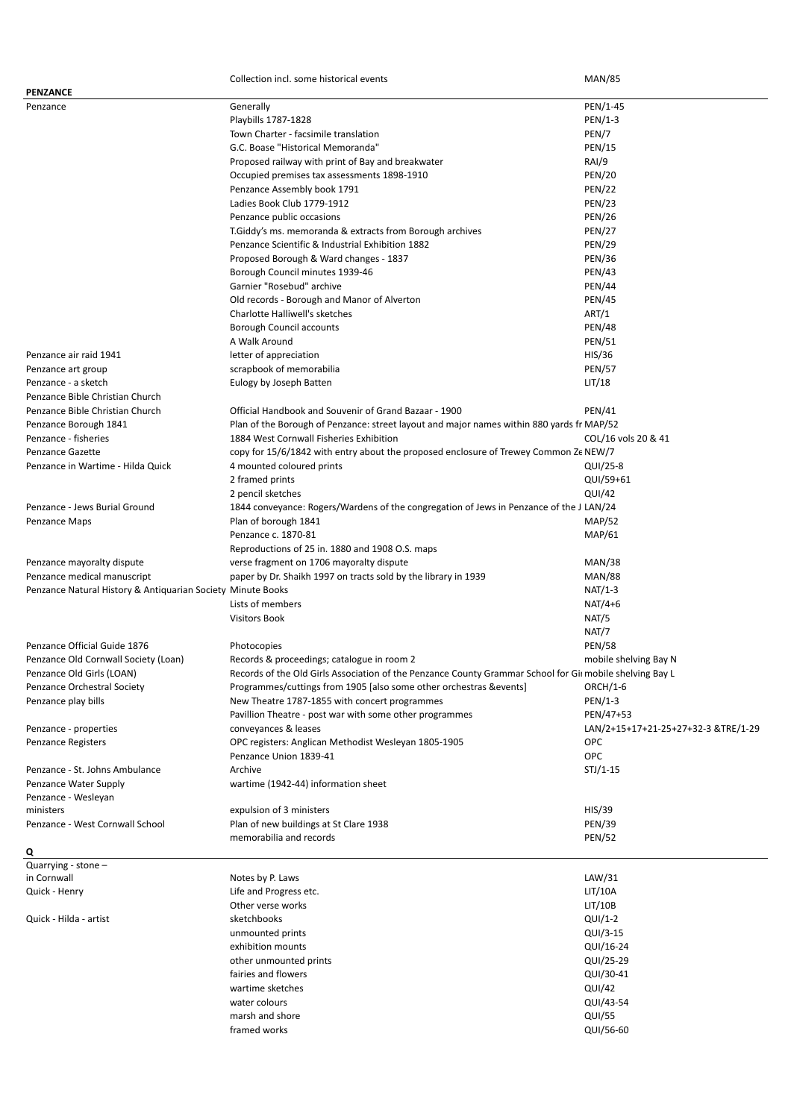|                                                             | Collection incl. some historical events                                                                  | <b>MAN/85</b>                       |
|-------------------------------------------------------------|----------------------------------------------------------------------------------------------------------|-------------------------------------|
| PENZANCE                                                    |                                                                                                          |                                     |
| Penzance                                                    | Generally                                                                                                | PEN/1-45                            |
|                                                             | Playbills 1787-1828                                                                                      | PEN/1-3                             |
|                                                             | Town Charter - facsimile translation                                                                     | PEN/7                               |
|                                                             | G.C. Boase "Historical Memoranda"                                                                        | <b>PEN/15</b>                       |
|                                                             | Proposed railway with print of Bay and breakwater                                                        | RAI/9                               |
|                                                             | Occupied premises tax assessments 1898-1910                                                              | <b>PEN/20</b>                       |
|                                                             | Penzance Assembly book 1791                                                                              | <b>PEN/22</b>                       |
|                                                             | Ladies Book Club 1779-1912                                                                               | <b>PEN/23</b>                       |
|                                                             |                                                                                                          |                                     |
|                                                             | Penzance public occasions                                                                                | <b>PEN/26</b>                       |
|                                                             | T.Giddy's ms. memoranda & extracts from Borough archives                                                 | <b>PEN/27</b>                       |
|                                                             | Penzance Scientific & Industrial Exhibition 1882                                                         | <b>PEN/29</b>                       |
|                                                             | Proposed Borough & Ward changes - 1837                                                                   | <b>PEN/36</b>                       |
|                                                             | Borough Council minutes 1939-46                                                                          | <b>PEN/43</b>                       |
|                                                             | Garnier "Rosebud" archive                                                                                | <b>PEN/44</b>                       |
|                                                             | Old records - Borough and Manor of Alverton                                                              | <b>PEN/45</b>                       |
|                                                             | Charlotte Halliwell's sketches                                                                           | ART/1                               |
|                                                             | Borough Council accounts                                                                                 | <b>PEN/48</b>                       |
|                                                             | A Walk Around                                                                                            | <b>PEN/51</b>                       |
| Penzance air raid 1941                                      | letter of appreciation                                                                                   | HIS/36                              |
|                                                             |                                                                                                          |                                     |
| Penzance art group                                          | scrapbook of memorabilia                                                                                 | <b>PEN/57</b>                       |
| Penzance - a sketch                                         | Eulogy by Joseph Batten                                                                                  | LIT/18                              |
| Penzance Bible Christian Church                             |                                                                                                          |                                     |
| Penzance Bible Christian Church                             | Official Handbook and Souvenir of Grand Bazaar - 1900                                                    | <b>PEN/41</b>                       |
| Penzance Borough 1841                                       | Plan of the Borough of Penzance: street layout and major names within 880 yards fr MAP/52                |                                     |
| Penzance - fisheries                                        | 1884 West Cornwall Fisheries Exhibition                                                                  | COL/16 vols 20 & 41                 |
| <b>Penzance Gazette</b>                                     | copy for 15/6/1842 with entry about the proposed enclosure of Trewey Common Ze NEW/7                     |                                     |
| Penzance in Wartime - Hilda Quick                           | 4 mounted coloured prints                                                                                | QUI/25-8                            |
|                                                             | 2 framed prints                                                                                          | QUI/59+61                           |
|                                                             | 2 pencil sketches                                                                                        | QUI/42                              |
| Penzance - Jews Burial Ground                               | 1844 conveyance: Rogers/Wardens of the congregation of Jews in Penzance of the J LAN/24                  |                                     |
|                                                             |                                                                                                          |                                     |
| Penzance Maps                                               | Plan of borough 1841                                                                                     | <b>MAP/52</b>                       |
|                                                             | Penzance c. 1870-81                                                                                      | MAP/61                              |
|                                                             | Reproductions of 25 in. 1880 and 1908 O.S. maps                                                          |                                     |
| Penzance mayoralty dispute                                  | verse fragment on 1706 mayoralty dispute                                                                 | <b>MAN/38</b>                       |
| Penzance medical manuscript                                 | paper by Dr. Shaikh 1997 on tracts sold by the library in 1939                                           | <b>MAN/88</b>                       |
| Penzance Natural History & Antiquarian Society Minute Books |                                                                                                          | $NAT/1-3$                           |
|                                                             | Lists of members                                                                                         | $NAT/4+6$                           |
|                                                             | <b>Visitors Book</b>                                                                                     | NAT/5                               |
|                                                             |                                                                                                          | NAT/7                               |
| Penzance Official Guide 1876                                | Photocopies                                                                                              | <b>PEN/58</b>                       |
| Penzance Old Cornwall Society (Loan)                        |                                                                                                          |                                     |
|                                                             | Records & proceedings; catalogue in room 2                                                               | mobile shelving Bay N               |
| Penzance Old Girls (LOAN)                                   | Records of the Old Girls Association of the Penzance County Grammar School for Gim mobile shelving Bay L |                                     |
| Penzance Orchestral Society                                 | Programmes/cuttings from 1905 [also some other orchestras & events]                                      | ORCH/1-6                            |
| Penzance play bills                                         | New Theatre 1787-1855 with concert programmes                                                            | PEN/1-3                             |
|                                                             | Pavillion Theatre - post war with some other programmes                                                  | PEN/47+53                           |
| Penzance - properties                                       | conveyances & leases                                                                                     | LAN/2+15+17+21-25+27+32-3 &TRE/1-29 |
| Penzance Registers                                          | OPC registers: Anglican Methodist Wesleyan 1805-1905                                                     | <b>OPC</b>                          |
|                                                             | Penzance Union 1839-41                                                                                   | OPC                                 |
| Penzance - St. Johns Ambulance                              | Archive                                                                                                  | $STJ/1-15$                          |
| Penzance Water Supply                                       | wartime (1942-44) information sheet                                                                      |                                     |
| Penzance - Wesleyan                                         |                                                                                                          |                                     |
| ministers                                                   | expulsion of 3 ministers                                                                                 | HIS/39                              |
| Penzance - West Cornwall School                             | Plan of new buildings at St Clare 1938                                                                   | <b>PEN/39</b>                       |
|                                                             |                                                                                                          |                                     |
|                                                             | memorabilia and records                                                                                  | <b>PEN/52</b>                       |
| Q                                                           |                                                                                                          |                                     |
| Quarrying - stone -                                         |                                                                                                          |                                     |
| in Cornwall                                                 | Notes by P. Laws                                                                                         | LAW/31                              |
| Quick - Henry                                               | Life and Progress etc.                                                                                   | LIT/10A                             |
|                                                             | Other verse works                                                                                        | LI/T/10B                            |
| Quick - Hilda - artist                                      | sketchbooks                                                                                              | $QUI/I-2$                           |
|                                                             | unmounted prints                                                                                         | QUI/3-15                            |
|                                                             | exhibition mounts                                                                                        | QUI/16-24                           |
|                                                             | other unmounted prints                                                                                   | QUI/25-29                           |
|                                                             | fairies and flowers                                                                                      | QUI/30-41                           |
|                                                             | wartime sketches                                                                                         | QUI/42                              |
|                                                             |                                                                                                          |                                     |
|                                                             | water colours                                                                                            | QUI/43-54                           |
|                                                             | marsh and shore                                                                                          | QUI/55                              |
|                                                             | framed works                                                                                             | QUI/56-60                           |
|                                                             |                                                                                                          |                                     |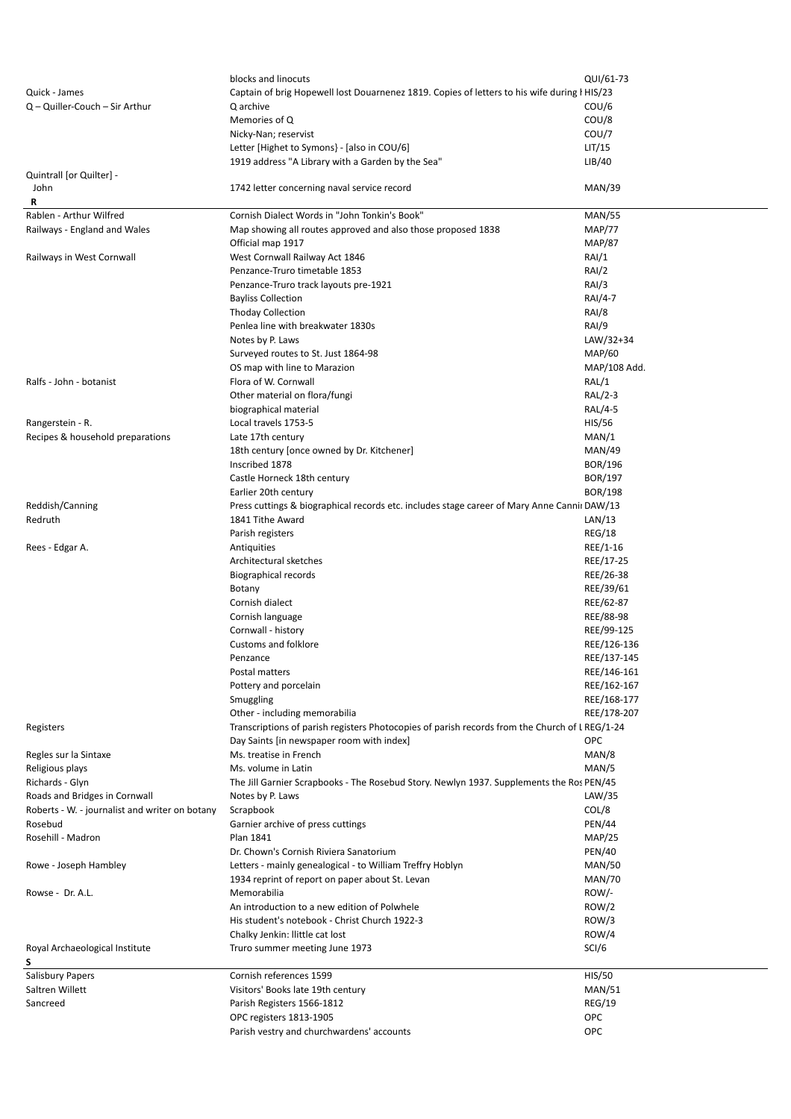|                                                         | blocks and linocuts                                                                                           | QUI/61-73                      |
|---------------------------------------------------------|---------------------------------------------------------------------------------------------------------------|--------------------------------|
| Quick - James                                           | Captain of brig Hopewell lost Douarnenez 1819. Copies of letters to his wife during I HIS/23                  |                                |
| Q - Quiller-Couch - Sir Arthur                          | Q archive                                                                                                     | COU/6                          |
|                                                         | Memories of Q                                                                                                 | COU/8                          |
|                                                         | Nicky-Nan; reservist                                                                                          | COU/7                          |
|                                                         | Letter [Highet to Symons] - [also in COU/6]                                                                   | LIT/15                         |
|                                                         | 1919 address "A Library with a Garden by the Sea"                                                             | LIB/40                         |
| Quintrall [or Quilter] -                                |                                                                                                               |                                |
| John                                                    | 1742 letter concerning naval service record                                                                   | <b>MAN/39</b>                  |
| R                                                       |                                                                                                               |                                |
| Rablen - Arthur Wilfred<br>Railways - England and Wales | Cornish Dialect Words in "John Tonkin's Book"<br>Map showing all routes approved and also those proposed 1838 | <b>MAN/55</b><br><b>MAP/77</b> |
|                                                         | Official map 1917                                                                                             | <b>MAP/87</b>                  |
| Railways in West Cornwall                               | West Cornwall Railway Act 1846                                                                                | RAI/1                          |
|                                                         | Penzance-Truro timetable 1853                                                                                 | RAI/2                          |
|                                                         | Penzance-Truro track layouts pre-1921                                                                         | RAI/3                          |
|                                                         | <b>Bayliss Collection</b>                                                                                     | RAI/4-7                        |
|                                                         | <b>Thoday Collection</b>                                                                                      | RAI/8                          |
|                                                         | Penlea line with breakwater 1830s                                                                             | RAI/9                          |
|                                                         | Notes by P. Laws                                                                                              | LAW/32+34                      |
|                                                         | Surveyed routes to St. Just 1864-98                                                                           | <b>MAP/60</b>                  |
|                                                         | OS map with line to Marazion                                                                                  | MAP/108 Add.                   |
| Ralfs - John - botanist                                 | Flora of W. Cornwall                                                                                          | RAL/1                          |
|                                                         | Other material on flora/fungi                                                                                 | RAL/2-3                        |
|                                                         | biographical material                                                                                         | RAL/4-5                        |
| Rangerstein - R.                                        | Local travels 1753-5                                                                                          | <b>HIS/56</b>                  |
| Recipes & household preparations                        | Late 17th century                                                                                             | MAN/1                          |
|                                                         | 18th century [once owned by Dr. Kitchener]                                                                    | <b>MAN/49</b>                  |
|                                                         | Inscribed 1878                                                                                                | <b>BOR/196</b>                 |
|                                                         | Castle Horneck 18th century                                                                                   | BOR/197                        |
|                                                         | Earlier 20th century                                                                                          | <b>BOR/198</b>                 |
| Reddish/Canning                                         | Press cuttings & biographical records etc. includes stage career of Mary Anne Cannii DAW/13                   |                                |
| Redruth                                                 | 1841 Tithe Award                                                                                              | LAN/13                         |
|                                                         | Parish registers                                                                                              | <b>REG/18</b>                  |
| Rees - Edgar A.                                         | Antiquities                                                                                                   | REE/1-16                       |
|                                                         | Architectural sketches                                                                                        | REE/17-25                      |
|                                                         | Biographical records                                                                                          | REE/26-38                      |
|                                                         | Botany<br>Cornish dialect                                                                                     | REE/39/61<br>REE/62-87         |
|                                                         | Cornish language                                                                                              | REE/88-98                      |
|                                                         | Cornwall - history                                                                                            | REE/99-125                     |
|                                                         | <b>Customs and folklore</b>                                                                                   | REE/126-136                    |
|                                                         | Penzance                                                                                                      | REE/137-145                    |
|                                                         | Postal matters                                                                                                | REE/146-161                    |
|                                                         | Pottery and porcelain                                                                                         | REE/162-167                    |
|                                                         | Smuggling                                                                                                     | REE/168-177                    |
|                                                         | Other - including memorabilia                                                                                 | REE/178-207                    |
| Registers                                               | Transcriptions of parish registers Photocopies of parish records from the Church of LREG/1-24                 |                                |
|                                                         | Day Saints [in newspaper room with index]                                                                     | OPC                            |
| Regles sur la Sintaxe                                   | Ms. treatise in French                                                                                        | MAN/8                          |
| Religious plays                                         | Ms. volume in Latin                                                                                           | MAN/5                          |
| Richards - Glyn                                         | The Jill Garnier Scrapbooks - The Rosebud Story. Newlyn 1937. Supplements the Ros PEN/45                      |                                |
| Roads and Bridges in Cornwall                           | Notes by P. Laws                                                                                              | LAW/35                         |
| Roberts - W. - journalist and writer on botany          | Scrapbook                                                                                                     | COL/8                          |
| Rosebud                                                 | Garnier archive of press cuttings                                                                             | <b>PEN/44</b>                  |
| Rosehill - Madron                                       | Plan 1841                                                                                                     | <b>MAP/25</b>                  |
|                                                         | Dr. Chown's Cornish Riviera Sanatorium                                                                        | <b>PEN/40</b>                  |
| Rowe - Joseph Hambley                                   | Letters - mainly genealogical - to William Treffry Hoblyn                                                     | <b>MAN/50</b>                  |
|                                                         | 1934 reprint of report on paper about St. Levan                                                               | <b>MAN/70</b>                  |
| Rowse - Dr. A.L.                                        | Memorabilia                                                                                                   | $ROW$ /-                       |
|                                                         | An introduction to a new edition of Polwhele                                                                  | ROW/2                          |
|                                                         | His student's notebook - Christ Church 1922-3                                                                 | ROW/3                          |
|                                                         | Chalky Jenkin: llittle cat lost                                                                               | ROW/4                          |
| Royal Archaeological Institute                          | Truro summer meeting June 1973                                                                                | SCI/6                          |
| S<br><b>Salisbury Papers</b>                            | Cornish references 1599                                                                                       | <b>HIS/50</b>                  |
| Saltren Willett                                         | Visitors' Books late 19th century                                                                             | <b>MAN/51</b>                  |
| Sancreed                                                | Parish Registers 1566-1812                                                                                    | <b>REG/19</b>                  |
|                                                         | OPC registers 1813-1905                                                                                       | OPC                            |
|                                                         | Parish vestry and churchwardens' accounts                                                                     | OPC                            |
|                                                         |                                                                                                               |                                |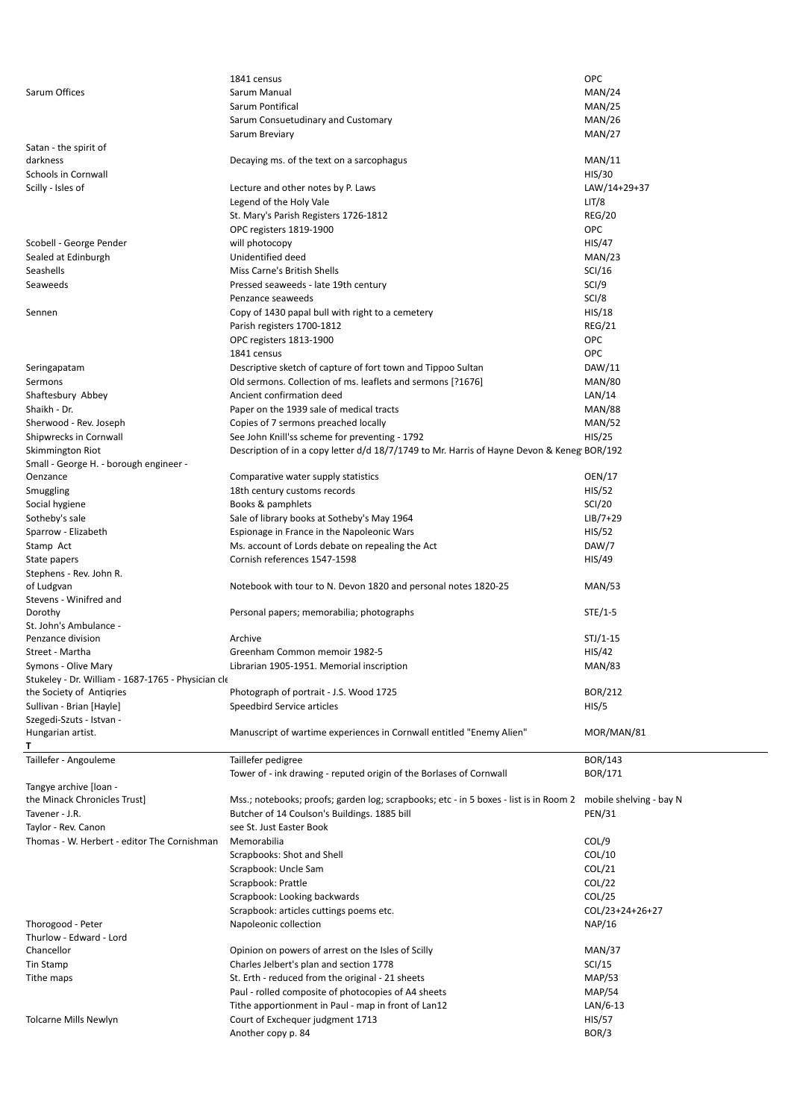|                                                                                | 1841 census                                                                                                   | <b>OPC</b>              |
|--------------------------------------------------------------------------------|---------------------------------------------------------------------------------------------------------------|-------------------------|
| Sarum Offices                                                                  | Sarum Manual                                                                                                  | MAN/24                  |
|                                                                                | Sarum Pontifical                                                                                              | MAN/25                  |
|                                                                                | Sarum Consuetudinary and Customary                                                                            | MAN/26                  |
|                                                                                | Sarum Breviary                                                                                                | MAN/27                  |
| Satan - the spirit of                                                          |                                                                                                               |                         |
| darkness                                                                       | Decaying ms. of the text on a sarcophagus                                                                     | MAN/11                  |
| Schools in Cornwall                                                            |                                                                                                               | HIS/30                  |
| Scilly - Isles of                                                              | Lecture and other notes by P. Laws                                                                            | LAW/14+29+37            |
|                                                                                | Legend of the Holy Vale                                                                                       | LIT/8                   |
|                                                                                | St. Mary's Parish Registers 1726-1812                                                                         | <b>REG/20</b>           |
|                                                                                | OPC registers 1819-1900                                                                                       | OPC                     |
| Scobell - George Pender                                                        | will photocopy                                                                                                | HIS/47                  |
| Sealed at Edinburgh                                                            | Unidentified deed                                                                                             | MAN/23                  |
| Seashells                                                                      | Miss Carne's British Shells                                                                                   | SCI/16                  |
| Seaweeds                                                                       | Pressed seaweeds - late 19th century                                                                          | SCI/9                   |
|                                                                                | Penzance seaweeds                                                                                             | SCI/8                   |
| Sennen                                                                         | Copy of 1430 papal bull with right to a cemetery                                                              | HIS/18                  |
|                                                                                | Parish registers 1700-1812                                                                                    | REG/21                  |
|                                                                                | OPC registers 1813-1900                                                                                       | <b>OPC</b>              |
|                                                                                | 1841 census                                                                                                   | <b>OPC</b>              |
| Seringapatam                                                                   | Descriptive sketch of capture of fort town and Tippoo Sultan                                                  | DAW/11                  |
| Sermons                                                                        | Old sermons. Collection of ms. leaflets and sermons [?1676]                                                   | <b>MAN/80</b>           |
| Shaftesbury Abbey                                                              | Ancient confirmation deed                                                                                     | LAN/14                  |
| Shaikh - Dr.                                                                   |                                                                                                               | <b>MAN/88</b>           |
|                                                                                | Paper on the 1939 sale of medical tracts                                                                      |                         |
| Sherwood - Rev. Joseph                                                         | Copies of 7 sermons preached locally                                                                          | <b>MAN/52</b>           |
| Shipwrecks in Cornwall                                                         | See John Knill'ss scheme for preventing - 1792                                                                | HIS/25                  |
| Skimmington Riot                                                               | Description of in a copy letter d/d 18/7/1749 to Mr. Harris of Hayne Devon & Keneg BOR/192                    |                         |
| Small - George H. - borough engineer -                                         |                                                                                                               |                         |
| Oenzance                                                                       | Comparative water supply statistics                                                                           | OEN/17                  |
| Smuggling                                                                      | 18th century customs records                                                                                  | HIS/52<br><b>SCI/20</b> |
| Social hygiene                                                                 | Books & pamphlets                                                                                             |                         |
| Sotheby's sale                                                                 | Sale of library books at Sotheby's May 1964                                                                   | $LIB/7+29$              |
| Sparrow - Elizabeth                                                            | Espionage in France in the Napoleonic Wars                                                                    | HIS/52                  |
| Stamp Act                                                                      | Ms. account of Lords debate on repealing the Act                                                              | DAW/7                   |
| State papers                                                                   | Cornish references 1547-1598                                                                                  | HIS/49                  |
| Stephens - Rev. John R.                                                        |                                                                                                               |                         |
| of Ludgvan                                                                     | Notebook with tour to N. Devon 1820 and personal notes 1820-25                                                | <b>MAN/53</b>           |
| Stevens - Winifred and                                                         |                                                                                                               | $STE/1-5$               |
| Dorothy                                                                        | Personal papers; memorabilia; photographs                                                                     |                         |
| St. John's Ambulance -<br>Penzance division                                    | Archive                                                                                                       | $STJ/1-15$              |
| Street - Martha                                                                | Greenham Common memoir 1982-5                                                                                 | HIS/42                  |
| Symons - Olive Mary                                                            |                                                                                                               |                         |
|                                                                                | Librarian 1905-1951. Memorial inscription                                                                     | <b>MAN/83</b>           |
| Stukeley - Dr. William - 1687-1765 - Physician cle<br>the Society of Antigries | Photograph of portrait - J.S. Wood 1725                                                                       | BOR/212                 |
| Sullivan - Brian [Hayle]                                                       | Speedbird Service articles                                                                                    | HIS/5                   |
| Szegedi-Szuts - Istvan -                                                       |                                                                                                               |                         |
| Hungarian artist.                                                              | Manuscript of wartime experiences in Cornwall entitled "Enemy Alien"                                          | MOR/MAN/81              |
|                                                                                |                                                                                                               |                         |
|                                                                                |                                                                                                               | <b>BOR/143</b>          |
| Taillefer - Angouleme                                                          | Taillefer pedigree                                                                                            |                         |
|                                                                                | Tower of - ink drawing - reputed origin of the Borlases of Cornwall                                           | BOR/171                 |
| Tangye archive [loan -<br>the Minack Chronicles Trust]                         | Mss.; notebooks; proofs; garden log; scrapbooks; etc - in 5 boxes - list is in Room 2 mobile shelving - bay N |                         |
|                                                                                |                                                                                                               |                         |
| Tavener - J.R.                                                                 | Butcher of 14 Coulson's Buildings. 1885 bill                                                                  | <b>PEN/31</b>           |
| Taylor - Rev. Canon                                                            | see St. Just Easter Book                                                                                      |                         |
| Thomas - W. Herbert - editor The Cornishman                                    | Memorabilia                                                                                                   | COL/9                   |
|                                                                                | Scrapbooks: Shot and Shell                                                                                    | COL/10                  |
|                                                                                | Scrapbook: Uncle Sam                                                                                          | COL/21                  |
|                                                                                | Scrapbook: Prattle                                                                                            | COL/22                  |
|                                                                                | Scrapbook: Looking backwards                                                                                  | COL/25                  |
|                                                                                | Scrapbook: articles cuttings poems etc.                                                                       | COL/23+24+26+27         |
| Thorogood - Peter                                                              | Napoleonic collection                                                                                         | NAP/16                  |
| Thurlow - Edward - Lord                                                        |                                                                                                               |                         |
| Chancellor                                                                     | Opinion on powers of arrest on the Isles of Scilly                                                            | MAN/37                  |
| Tin Stamp                                                                      | Charles Jelbert's plan and section 1778                                                                       | SCI/15                  |
| Tithe maps                                                                     | St. Erth - reduced from the original - 21 sheets                                                              | MAP/53                  |
|                                                                                | Paul - rolled composite of photocopies of A4 sheets                                                           | <b>MAP/54</b>           |
|                                                                                | Tithe apportionment in Paul - map in front of Lan12                                                           | $LAN/6-13$              |
| Tolcarne Mills Newlyn                                                          | Court of Exchequer judgment 1713                                                                              | <b>HIS/57</b>           |
|                                                                                | Another copy p. 84                                                                                            | BOR/3                   |
|                                                                                |                                                                                                               |                         |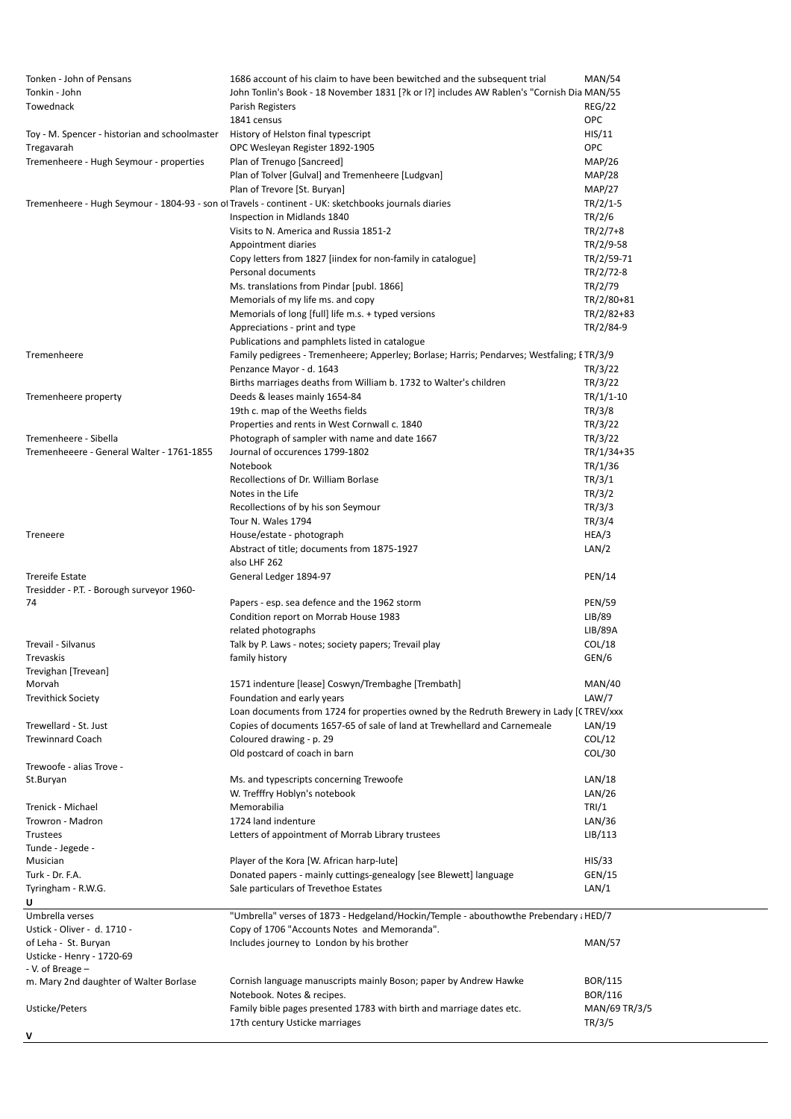| Tonken - John of Pensans                      | 1686 account of his claim to have been bewitched and the subsequent trial                            | <b>MAN/54</b> |
|-----------------------------------------------|------------------------------------------------------------------------------------------------------|---------------|
| Tonkin - John                                 | John Tonlin's Book - 18 November 1831 [?k or I?] includes AW Rablen's "Cornish Dia MAN/55            |               |
| Towednack                                     | Parish Registers                                                                                     | <b>REG/22</b> |
|                                               | 1841 census                                                                                          | OPC           |
| Toy - M. Spencer - historian and schoolmaster | History of Helston final typescript                                                                  | HIS/11        |
| Tregavarah                                    | OPC Wesleyan Register 1892-1905                                                                      | OPC           |
| Tremenheere - Hugh Seymour - properties       | Plan of Trenugo [Sancreed]                                                                           | <b>MAP/26</b> |
|                                               | Plan of Tolver [Gulval] and Tremenheere [Ludgvan]                                                    | <b>MAP/28</b> |
|                                               |                                                                                                      |               |
|                                               | Plan of Trevore [St. Buryan]                                                                         | MAP/27        |
|                                               | Tremenheere - Hugh Seymour - 1804-93 - son of Travels - continent - UK: sketchbooks journals diaries | $TR/2/1-5$    |
|                                               | Inspection in Midlands 1840                                                                          | TR/2/6        |
|                                               | Visits to N. America and Russia 1851-2                                                               | $TR/2/7+8$    |
|                                               | Appointment diaries                                                                                  | TR/2/9-58     |
|                                               | Copy letters from 1827 [iindex for non-family in catalogue]                                          | TR/2/59-71    |
|                                               | Personal documents                                                                                   | TR/2/72-8     |
|                                               | Ms. translations from Pindar [publ. 1866]                                                            | TR/2/79       |
|                                               | Memorials of my life ms. and copy                                                                    | TR/2/80+81    |
|                                               | Memorials of long [full] life m.s. + typed versions                                                  | TR/2/82+83    |
|                                               |                                                                                                      |               |
|                                               | Appreciations - print and type                                                                       | TR/2/84-9     |
|                                               | Publications and pamphlets listed in catalogue                                                       |               |
| Tremenheere                                   | Family pedigrees - Tremenheere; Apperley; Borlase; Harris; Pendarves; Westfaling; ETR/3/9            |               |
|                                               | Penzance Mayor - d. 1643                                                                             | TR/3/22       |
|                                               | Births marriages deaths from William b. 1732 to Walter's children                                    | TR/3/22       |
| Tremenheere property                          | Deeds & leases mainly 1654-84                                                                        | $TR/1/1-10$   |
|                                               | 19th c. map of the Weeths fields                                                                     | TR/3/8        |
|                                               | Properties and rents in West Cornwall c. 1840                                                        | TR/3/22       |
| Tremenheere - Sibella                         | Photograph of sampler with name and date 1667                                                        | TR/3/22       |
|                                               |                                                                                                      |               |
| Tremenheeere - General Walter - 1761-1855     | Journal of occurences 1799-1802                                                                      | TR/1/34+35    |
|                                               | Notebook                                                                                             | TR/1/36       |
|                                               | Recollections of Dr. William Borlase                                                                 | TR/3/1        |
|                                               | Notes in the Life                                                                                    | TR/3/2        |
|                                               | Recollections of by his son Seymour                                                                  | TR/3/3        |
|                                               | Tour N. Wales 1794                                                                                   | TR/3/4        |
| Treneere                                      | House/estate - photograph                                                                            | HEA/3         |
|                                               | Abstract of title; documents from 1875-1927                                                          | LAN/2         |
|                                               | also LHF 262                                                                                         |               |
|                                               |                                                                                                      |               |
| <b>Trereife Estate</b>                        | General Ledger 1894-97                                                                               | <b>PEN/14</b> |
| Tresidder - P.T. - Borough surveyor 1960-     |                                                                                                      |               |
| 74                                            | Papers - esp. sea defence and the 1962 storm                                                         | <b>PEN/59</b> |
|                                               | Condition report on Morrab House 1983                                                                | LIB/89        |
|                                               | related photographs                                                                                  | LIB/89A       |
| Trevail - Silvanus                            | Talk by P. Laws - notes; society papers; Trevail play                                                | COL/18        |
| Trevaskis                                     | family history                                                                                       | GEN/6         |
| Trevighan [Trevean]                           |                                                                                                      |               |
| Morvah                                        | 1571 indenture [lease] Coswyn/Trembaghe [Trembath]                                                   | MAN/40        |
| <b>Trevithick Society</b>                     | Foundation and early years                                                                           | LAW/7         |
|                                               | Loan documents from 1724 for properties owned by the Redruth Brewery in Lady [CTREV/xxx              |               |
| Trewellard - St. Just                         | Copies of documents 1657-65 of sale of land at Trewhellard and Carnemeale                            | LAN/19        |
| <b>Trewinnard Coach</b>                       |                                                                                                      | COL/12        |
|                                               | Coloured drawing - p. 29                                                                             |               |
|                                               | Old postcard of coach in barn                                                                        | COL/30        |
| Trewoofe - alias Trove -                      |                                                                                                      |               |
|                                               |                                                                                                      |               |
| St.Buryan                                     | Ms. and typescripts concerning Trewoofe                                                              | LAN/18        |
|                                               | W. Trefffry Hoblyn's notebook                                                                        | LAN/26        |
| Trenick - Michael                             | Memorabilia                                                                                          | TRI/1         |
| Trowron - Madron                              | 1724 land indenture                                                                                  | LAN/36        |
| Trustees                                      |                                                                                                      |               |
|                                               | Letters of appointment of Morrab Library trustees                                                    | LIB/113       |
| Tunde - Jegede -                              |                                                                                                      |               |
| Musician                                      | Player of the Kora [W. African harp-lute]                                                            | HIS/33        |
| Turk - Dr. F.A.                               | Donated papers - mainly cuttings-genealogy [see Blewett] language                                    | GEN/15        |
| Tyringham - R.W.G.                            | Sale particulars of Trevethoe Estates                                                                | LAN/1         |
| U                                             |                                                                                                      |               |
| Umbrella verses                               | "Umbrella" verses of 1873 - Hedgeland/Hockin/Temple - abouthowthe Prebendary ¿ HED/7                 |               |
| Ustick - Oliver - d. 1710 -                   | Copy of 1706 "Accounts Notes and Memoranda".                                                         |               |
| of Leha - St. Buryan                          | Includes journey to London by his brother                                                            | <b>MAN/57</b> |
| Usticke - Henry - 1720-69                     |                                                                                                      |               |
| - V. of Breage –                              |                                                                                                      |               |
| m. Mary 2nd daughter of Walter Borlase        | Cornish language manuscripts mainly Boson; paper by Andrew Hawke                                     | BOR/115       |
|                                               | Notebook. Notes & recipes.                                                                           | BOR/116       |
| Usticke/Peters                                | Family bible pages presented 1783 with birth and marriage dates etc.                                 | MAN/69 TR/3/5 |
|                                               | 17th century Usticke marriages                                                                       | TR/3/5        |